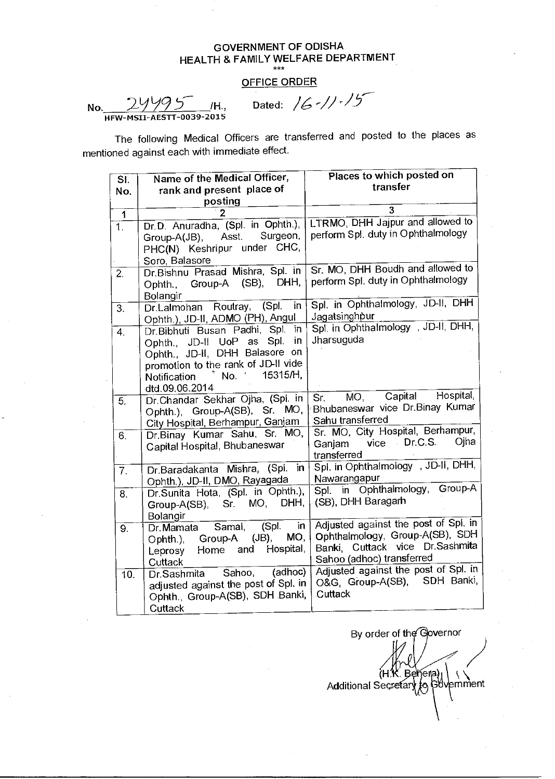## OFFICE ORDER

No.  $24495$  /H., Dated:  $/6$  -//  $/5$  $\overline{0039}$ -2015

| SI.              | Name of the Medical Officer,                                          | Places to which posted on                             |
|------------------|-----------------------------------------------------------------------|-------------------------------------------------------|
| No.              | rank and present place of                                             | transfer                                              |
|                  | posting                                                               |                                                       |
| 1                |                                                                       | 3                                                     |
| $\overline{1}$ . | Dr.D. Anuradha, (Spl. in Ophth.),                                     | LTRMO, DHH Jajpur and allowed to                      |
|                  | Surgeon,<br>Asst.<br>Group-A(JB),                                     | perform Spl. duty in Ophthalmology                    |
|                  | PHC(N) Keshripur under CHC,                                           |                                                       |
|                  | Soro, Balasore                                                        |                                                       |
| 2.               | Dr.Bishnu Prasad Mishra, Spl. in                                      | Sr. MO, DHH Boudh and allowed to                      |
|                  | Group-A (SB), DHH,<br>Ophth.,                                         | perform Spl. duty in Ophthalmology                    |
|                  | Bolangir                                                              |                                                       |
| 3.               | (Spl.<br>in<br>Dr.Lalmohan Routray,                                   | Spl. in Ophthalmology, JD-II, DHH                     |
|                  | Ophth.), JD-II, ADMO (PH), Angul                                      | Jagatsinghpur                                         |
| $\overline{4}$   | Dr.Bibhuti Busan Padhi, Spl.<br>in                                    | Spl. in Ophthalmology , JD-II, DHH,                   |
|                  | Spl.<br>in<br>Ophth., JD-II UoP as                                    | Jharsuguda                                            |
|                  | Ophth., JD-II, DHH Balasore<br>on                                     |                                                       |
|                  | promotion to the rank of JD-II vide                                   |                                                       |
|                  | $^*$ No. ' 15315/H,<br><b>Notification</b>                            |                                                       |
|                  | dtd.09.06.2014                                                        |                                                       |
| $\overline{5}$ . | Dr. Chandar Sekhar Ojha, (Spl. in                                     | Capital Hospital,<br>MO,<br>Sr. S                     |
|                  | Ophth.), Group-A(SB), Sr. MO,                                         | Bhubaneswar vice Dr. Binay Kumar                      |
|                  | City Hospital, Berhampur, Ganjam                                      | Sahu transferred<br>Sr. MO, City Hospital, Berhampur, |
| 6.               | Dr. Binay Kumar Sahu, Sr. MO,                                         | vice Dr.C.S.<br>Ojha                                  |
|                  | Capital Hospital, Bhubaneswar                                         | Ganjam<br>transferred                                 |
|                  |                                                                       | Spl. in Ophthalmology, JD-II, DHH,                    |
| $\overline{7}$ . | Dr.Baradakanta Mishra, (Spl. in                                       | Nawarangapur                                          |
|                  | Ophth.), JD-II, DMO, Rayagada                                         | Spl. in Ophthalmology, Group-A                        |
| 8.               | Dr.Sunita Hota, (Spl. in Ophth.),<br>DHH,<br>MO,                      | (SB), DHH Baragarh                                    |
|                  | Sr.<br>Group-A(SB),                                                   |                                                       |
|                  | Bolangir<br>(Spl.<br>in<br>Samal,<br>$\overline{\mathsf{Dr}}$ .Mamata | Adjusted against the post of Spl. in                  |
| $\overline{9}$ . | $JB$ ,<br>MO,<br>Ophth.), Group-A                                     | Ophthalmology, Group-A(SB), SDH                       |
|                  | Hospital,<br>and<br>Leprosy Home                                      | Banki, Cuttack vice Dr.Sashmita                       |
|                  | Cuttack                                                               | Sahoo (adhoc) transferred                             |
| 10.              | Sahoo, (adhoc)<br>Dr.Sashmita                                         | Adjusted against the post of Spl. in                  |
|                  | adjusted against the post of Spl. in                                  | O&G, Group-A(SB), SDH Banki,                          |
|                  |                                                                       |                                                       |
|                  |                                                                       | Cuttack                                               |
|                  | Ophth., Group-A(SB), SDH Banki,<br>Cuttack                            |                                                       |

By order of the Governor . Behera) (H. Additional Secretary to Government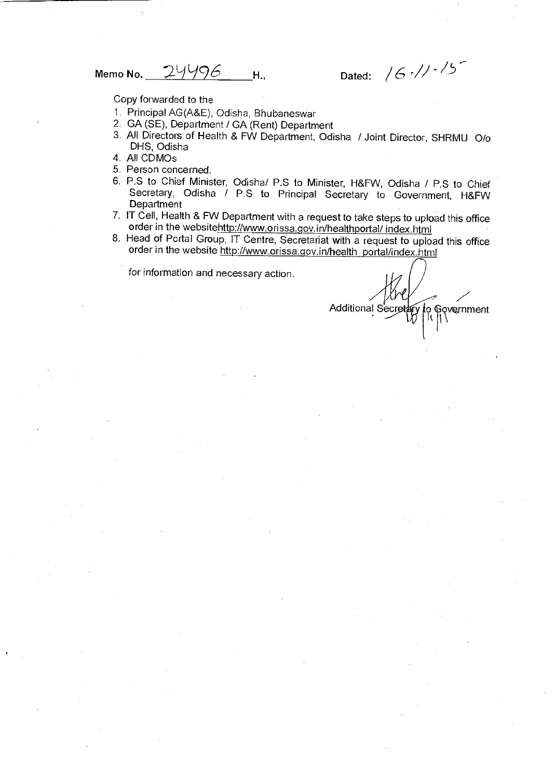Memo No. 24496 H., Dated:  $/6$  and  $/1.6$ 

Copy forwarded to the

- 1. Principal AG(A&E), Odisha, Bhubaneswar
- 2. GA (SE), Department / GA (Rent) Department
- 3. All Directors of Health & FW Department, Odisha / Joint Director, SHRMU 0/o DHS, Odisha
- 4. All CDMOs
- 5. Person concerned.
- 6. P.S to Chief Minister, Odisha/ P.S to Minister, H&FW, Odisha / P.S to Chief Secretary, Odisha / P.S to Principal Secretary to Government, H&FW **Department**
- 7. IT Cell, Health & FW Department with a request to take steps to upload this office order in the websitehttp://www.orissa.gov.in/healthportal/ index.html
- 8. Head of Portal Group, IT Centre, Secretariat with a request to upload this office order in the website http://www.orissa.gov.in/health\_portal/index.html

Additional S o Gov<br>II || \ vernment It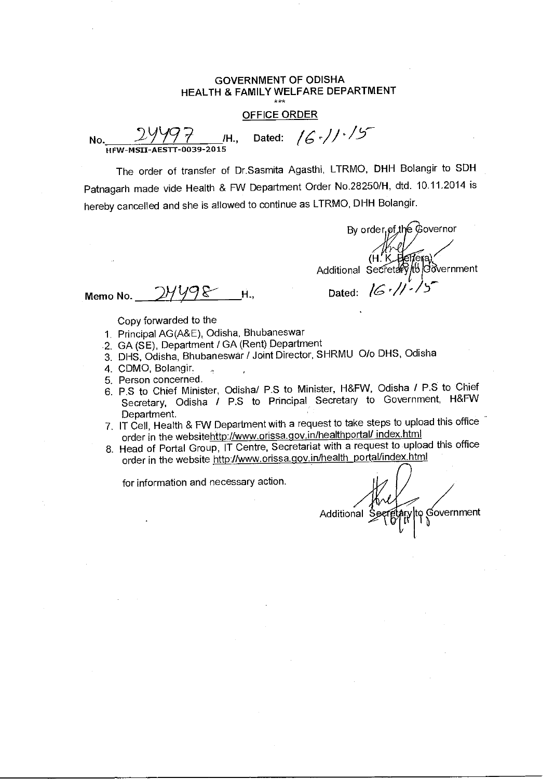#### OFFICE ORDER

X\*\*<br><u>OFFICE C</u><br>HFW-MSII-AESTT-0039-2015<br>HFW-MSII-AESTT-0039-2015

The order of transfer of Dr.Sasmita Agasthi, LTRMO, DHH Bolangir to SDH Patnagarh made vide Health & FW Department Order No.28250/H, dtd. 10.11.2014 is hereby cancelled and she is allowed to continue as LTRMO, DHH Bolangir.

By order pf the Governor (H. K. Additional Secretary/to/Government

Memo No.  $2\frac{1}{98}$ -H., Dated:  $16\frac{1}{5}\frac{1}{5}$ 

Copy forwarded to the

- 1. Principal AG(A&E), Odisha, Bhubaneswar
- .2. GA (SE), Department / GA (Rent) Department
- 3. DHS, Odisha, Bhubaneswar / Joint Director, SHRMU 0/o DHS, Odisha
- 4. CDMO, Bolangir.
- 5. Person concerned.
- 6. P.S to Chief Minister, Odisha/ P.S to Minister, H&FW, Odisha / P.S to Chief Secretary, Odisha / P.S to Principal Secretary to Government, H&FW Department.
- 7. IT Cell, Health & FW Department with a request to take steps to upload this office order in the websitehttp://www.orissa.gov.in/healthportal/ index.html
- 8. Head of Portal Group, IT Centre, Secretariat with a request to upload this office order in the website http://www.orissa.gov.in/health\_portal/index.html

Additional Secretary to Government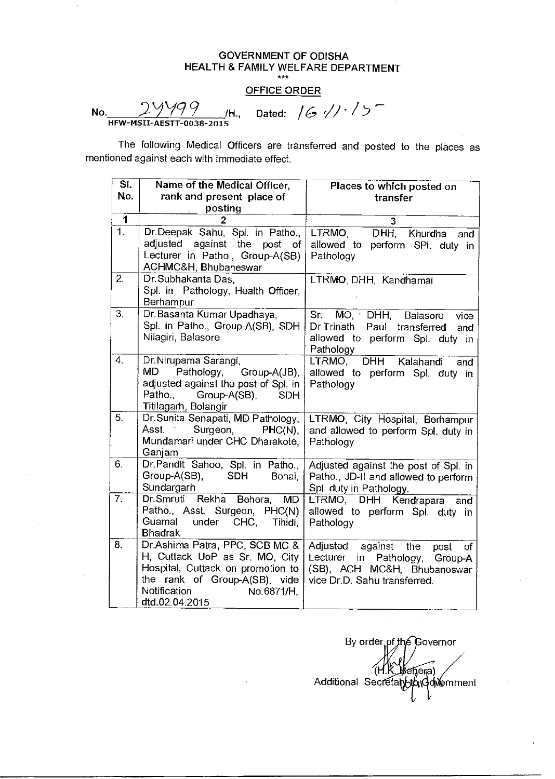## OFFICE ORDER

**No.** 2999 P

 $M_H$ , Dated:  $/G$   $\frac{1}{2}$  /1  $\frac{1}{2}$ 

| SI.                     | Name of the Medical Officer,                                                                                                                                                           | Places to which posted on                                                                                                                 |  |  |
|-------------------------|----------------------------------------------------------------------------------------------------------------------------------------------------------------------------------------|-------------------------------------------------------------------------------------------------------------------------------------------|--|--|
| No.                     | rank and present place of                                                                                                                                                              | transfer                                                                                                                                  |  |  |
|                         | posting                                                                                                                                                                                |                                                                                                                                           |  |  |
| $\overline{\mathbf{1}}$ | 2                                                                                                                                                                                      | 3                                                                                                                                         |  |  |
| $\overline{1}$          | Dr.Deepak Sahu, Spl. in Patho.,<br>adjusted against the post of<br>Lecturer in Patho., Group-A(SB)<br>ACHMC&H, Bhubaneswar                                                             | LTRMO,<br>DHH, Khurdha<br>and<br>allowed to perform SPI. duty in<br>Pathology                                                             |  |  |
| $\overline{2}$ .        | Dr. Subhakanta Das,<br>Spl. in Pathology, Health Officer,<br>Berhampur                                                                                                                 | LTRMO, DHH, Kandhamal                                                                                                                     |  |  |
| 3.                      | Dr. Basanta Kumar Upadhaya,<br>Spl. in Patho., Group-A(SB), SDH<br>Nilagiri, Balasore                                                                                                  | Sr.<br>MO, DHH, Balasore<br>vice<br>Dr Trinath<br>Paul transferred<br>and<br>allowed to perform Spl. duty in<br>Pathology                 |  |  |
| 4.                      | Dr. Nirupama Sarangi,<br>MD<br>Pathology,<br>Group-A(JB),<br>adjusted against the post of Spl. in<br>Patho.<br>Group-A(SB),<br><b>SDH</b><br>Titilagarh, Bolangir                      | DHH Kalahandi<br>LTRMO,<br>and<br>allowed to perform Spl. duty in<br>Pathology                                                            |  |  |
| 5.                      | Dr.Sunita Senapati, MD Pathology,<br>Surgeon, PHC(N)<br>Asst. The<br>Mundamari under CHC Dharakote,<br>Ganjam                                                                          | LTRMO, City Hospital, Berhampur<br>and allowed to perform Spl. duty in<br>Pathology                                                       |  |  |
| 6.                      | Dr. Pandit Sahoo, Spl. in Patho.,<br>Group-A(SB),<br><b>SDH</b><br>Bonai,<br>Sundargarh                                                                                                | Adjusted against the post of Spl. in<br>Patho., JD-II and allowed to perform<br>Spl. duty in Pathology.                                   |  |  |
| $\overline{7}$ .        | Dr. Smruti Rekha Behera, MD<br>Patho., Asst. Surgeon, PHC(N)<br>Guamal<br>under CHC,<br>Tihidi.<br><b>Bhadrak</b>                                                                      | LTRMO, DHH Kendrapara<br>and<br>allowed to perform Spl. duty in<br>Pathology                                                              |  |  |
| 8.                      | Dr.Ashima Patra, PPC, SCB MC &<br>H, Cuttack UoP as Sr. MO, City<br>Hospital, Cuttack on promotion to<br>the rank of Group-A(SB), vide<br>Notification<br>No.6871/H,<br>dtd.02.04.2015 | Adjusted against the<br>post<br>of<br>Pathology,<br>Lecturer in<br>Group-A<br>(SB), ACH MC&H, Bhubaneswar<br>vice Dr.D. Sahu transferred. |  |  |

By order of the Governor еђега) Additional Secretary to Government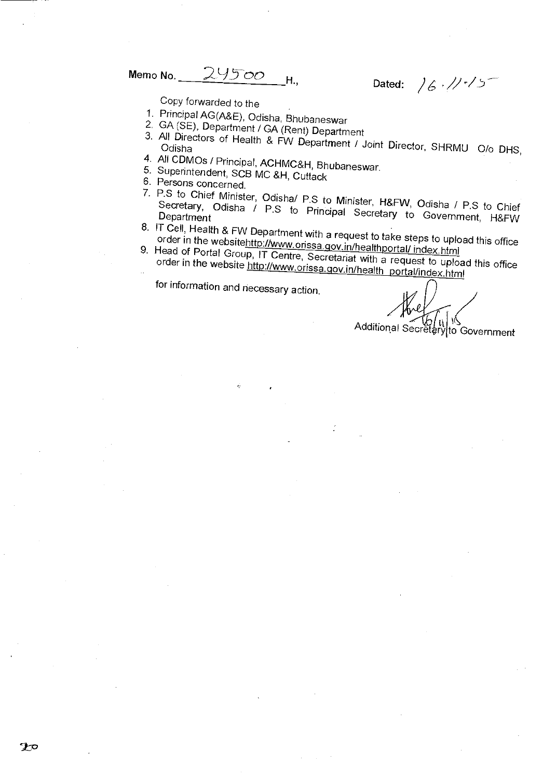Memo No.  $\frac{24500}{\text{H}}$ H., Dated:  $/6$   $/$ 

Copy forwarded to the

- 1. Principal AG(A&E), Odisha, Bhubaneswar
- 2. GA (SE), Department / GA (Rent) Department
- 3. All Directors of Health & FW Department / Joint Director, SHRMU O/o DHS,
- 4. AN CDMOs / Principal, ACHMC&H, Bhubaneswar.
- 5. Superintendent, SCB MC &H, Cuttack
- 6. Persons concerned.
- 7. P.S to Chief Minister, Odisha/ P.S to Minister, H&FW, Odisha / P.S to Chief Secretary, Odisha  $/$  P.S to Principal Secretary to Government, H&FW
- 8.  $\frac{1}{2}$  Cell, Health & FW Department with a request to take steps to upload this office. order in the websitehttp://www.orissa.gov.in/healthportal/ index.html
- 9. Head of Portal Group IT Centre Secrets in the unportal index.html Head of Portal Group, IT Centre, Secretariat with a request to upload this office. order in the website http://www.orissa.gov.in/health portal/index.html

Additional Secret ary to Government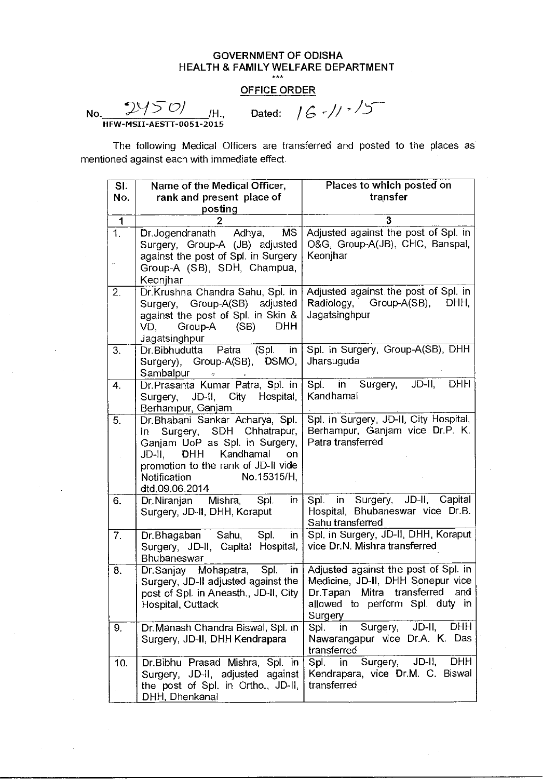# GOVERNMENT OF ODISHA HEALTH & FAMILY WELFARE DEPARTMENT \*\*\* No. /H., Dated: / 6 r/i/ i

## OFFICE ORDER

HFW-MSII-AESTT-0051-2015

| SI.                | Name of the Medical Officer,                                                                                                                                                                                                    | Places to which posted on                                                                                                                                                                       |
|--------------------|---------------------------------------------------------------------------------------------------------------------------------------------------------------------------------------------------------------------------------|-------------------------------------------------------------------------------------------------------------------------------------------------------------------------------------------------|
| No.                | rank and present place of                                                                                                                                                                                                       | transfer                                                                                                                                                                                        |
|                    | posting                                                                                                                                                                                                                         |                                                                                                                                                                                                 |
| 1                  | 2                                                                                                                                                                                                                               | 3                                                                                                                                                                                               |
| 1.                 | <b>MS</b><br>Dr.Jogendranath Adhya,<br>Surgery, Group-A (JB) adjusted<br>against the post of Spl. in Surgery<br>Group-A (SB), SDH, Champua,<br>Keonjhar                                                                         | Adjusted against the post of Spl. in<br>O&G, Group-A(JB), CHC, Banspal,<br>Keonjhar                                                                                                             |
| 2.                 | Dr.Krushna Chandra Sahu, Spl. in<br>Surgery, Group-A(SB) adjusted<br>against the post of Spl. in Skin &<br><b>DHH</b><br>Group-A<br>(SB)<br>VD.<br>Jagatsinghpur                                                                | Adjusted against the post of Spl. in<br>Radiology, Group-A(SB),<br>DHH,<br>Jagatsinghpur                                                                                                        |
| 3.                 | Dr.Bibhudutta Patra<br>(Spl.<br>in<br>Surgery), Group-A(SB), DSMO,<br>Sambalpur<br>$\tilde{\zeta}$                                                                                                                              | Spl. in Surgery, Group-A(SB), DHH<br>Jharsuguda                                                                                                                                                 |
| $\boldsymbol{4}$ . | Dr.Prasanta Kumar Patra, Spl. in<br>JD-II, City Hospital,<br>Surgery,<br>Berhampur, Ganjam                                                                                                                                      | $JD$ -II,<br>DHH<br>Spl. in Surgery,<br>Kandhamal                                                                                                                                               |
| 5.                 | Dr. Bhabani Sankar Acharya, Spl.<br>Surgery, SDH Chhatrapur,<br>In l<br>Ganjam UoP as Spl. in Surgery,<br>JD-II, DHH<br>Kandhamal<br>on<br>promotion to the rank of JD-II vide<br>No.15315/H,<br>Notification<br>dtd.09.06.2014 | Spl. in Surgery, JD-II, City Hospital,<br>Berhampur, Ganjam vice Dr.P. K.<br>Patra transferred                                                                                                  |
| 6.                 | Spl.<br>in<br>Dr.Niranjan Mishra,<br>Surgery, JD-II, DHH, Koraput                                                                                                                                                               | JD-II, Capital<br>Spl. in Surgery,<br>Hospital, Bhubaneswar vice Dr.B.<br>Sahu transferred                                                                                                      |
| 7.                 | Dr.Bhagaban Sahu, Spl.<br>in<br>Surgery, JD-II, Capital Hospital,<br>Bhubaneswar                                                                                                                                                | Spl. in Surgery, JD-II, DHH, Koraput<br>vice Dr.N. Mishra transferred                                                                                                                           |
| 8.                 | Dr.Sanjay Mohapatra, Spl.<br>$\mathsf{I}$<br>post of Spl. in Aneasth., JD-II, City  <br>Hospital, Cuttack                                                                                                                       | Adjusted against the post of Spl. in<br>Surgery, JD-II adjusted against the   Medicine, JD-II, DHH Sonepur vice<br>Dr.Tapan Mitra transferred and<br>allowed to perform Spl. duty in<br>Surgery |
| 9.                 | Dr. Manash Chandra Biswal, Spl. in<br>Surgery, JD-II, DHH Kendrapara                                                                                                                                                            | JD-II, DHH<br>Surgery,<br>Spl.<br>in<br>Nawarangapur vice Dr.A. K. Das<br>transferred                                                                                                           |
| 10.                | Dr.Bibhu Prasad Mishra, Spl. in<br>Surgery, JD-II, adjusted against<br>the post of Spl. in Ortho., JD-II,<br>DHH, Dhenkanal                                                                                                     | $JD$ -II,<br><b>DHH</b><br>Surgery,<br>Spl.<br>in.<br>Kendrapara, vice Dr.M. C. Biswal<br>transferred                                                                                           |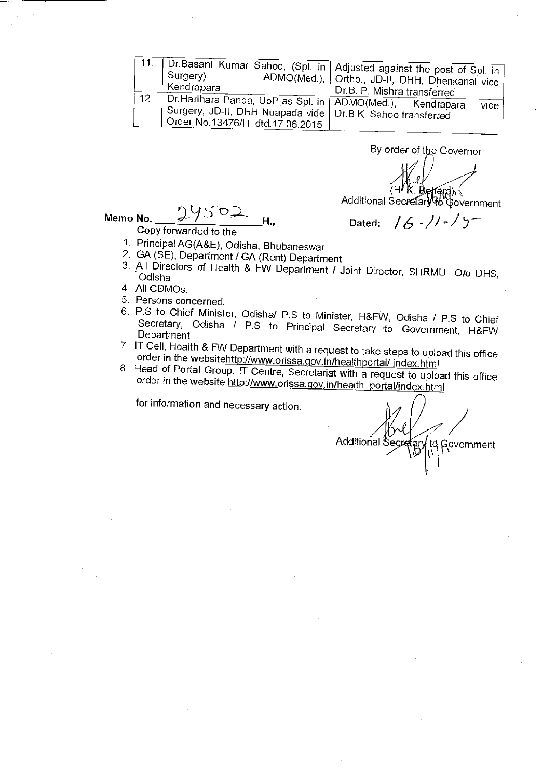|     | , Surgery),<br>Kendrapara                                                                                                                                         | , Dr.Basant Kumar Sahoo, (Spl. in   Adjusted against the post of Spl. in  <br>ADMO(Med.),   Ortho., JD-II, DHH, Dhenkanal vice  <br>. Dr.B. P. Mishra transferred |
|-----|-------------------------------------------------------------------------------------------------------------------------------------------------------------------|-------------------------------------------------------------------------------------------------------------------------------------------------------------------|
| 12. | Dr. Harihara Panda, UoP as Spl. in   ADMO(Med.), Kendrapara<br>, Surgery, JD-II, DHH Nuapada vide   Dr.B.K. Sahoo transferred<br>Order No.13476/H, dtd.17.06.2015 | vice                                                                                                                                                              |

**By order of the Governor** 

(H**! K. Betierd)، √**<br>Additional Secretar**y to** ©overnment

Dated:  $/6$  - $//-/5$ 

Memo No.  $\mu$   $\sim$  7  $\sim$   $\mu$ <sub>H</sub>

**Copy forwarded to the** 

- **1. Principal AG(A&E), Odisha, Bhubaneswar**
- **2. GA (SE), Department / GA (Rent) Department**
- **3. All Directors of Health & FW Department / Joint Director, SHRMU 0/o DHS, Odisha**
- **4. All CDMOs.**
- **5. Persons concerned.**
- **6. P.S to Chief Minister, Odisha/ P.S to Minister, H&FW, Odisha / P.S to Chief Secretary, Odisha / P.S to Principal Secretary to Government, H&FW Department**
- **7. IT** Cell, Health & FW Department with a request to take steps to upload this office **order in the websitehttp://www:orissa.qov.in/healthportal/ index.html**
- **8. Head of Portal Group, IT Centre, Secretariat with a request to upload this office order in the website http://www.orissa.qov.in/health portal/index.html**

Additional Secretary to Government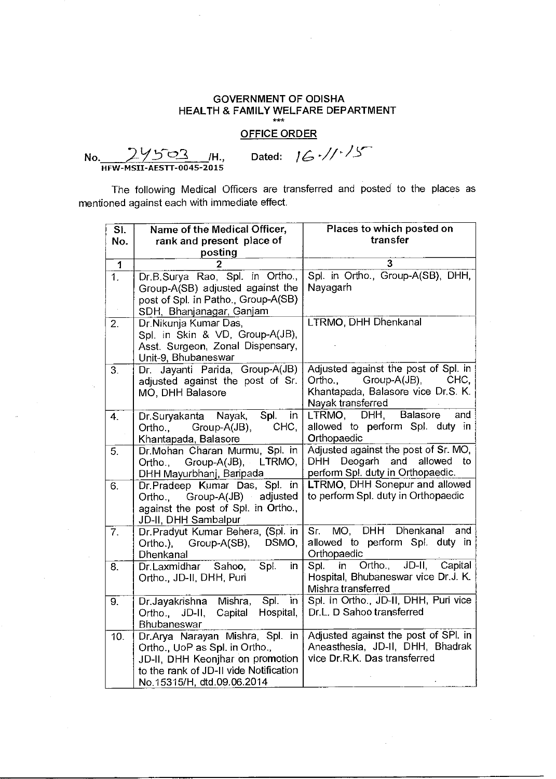**OFFICE ORDER** 

**No.** 24503 /H., Dated:  $16$  //  $15$  $\frac{24503}{HFW-MSII-AESTT-0045-2015}$ 

| SI.              | Name of the Medical Officer,                                      | Places to which posted on                                   |
|------------------|-------------------------------------------------------------------|-------------------------------------------------------------|
| No.              | rank and present place of                                         | transfer                                                    |
|                  | posting                                                           |                                                             |
| 1                |                                                                   | 3                                                           |
| $\overline{1}$ . | Dr.B.Surya Rao, Spl. in Ortho.,                                   | Spl. in Ortho., Group-A(SB), DHH,                           |
|                  | Group-A(SB) adjusted against the                                  | Nayagarh                                                    |
|                  | post of Spl. in Patho., Group-A(SB)                               |                                                             |
|                  | SDH, Bhanjanagar, Ganjam                                          |                                                             |
| 2.               | Dr. Nikunja Kumar Das,                                            | LTRMO, DHH Dhenkanal                                        |
|                  | Spl. in Skin & VD, Group-A(JB),                                   |                                                             |
|                  | Asst. Surgeon, Zonal Dispensary,                                  |                                                             |
|                  | Unit-9, Bhubaneswar                                               |                                                             |
| 3 <sub>1</sub>   | Dr. Jayanti Parida, Group-A(JB)                                   | Adjusted against the post of Spl. in                        |
|                  | adjusted against the post of Sr.                                  | Group-A(JB),<br>Ortho.,<br>CHC,                             |
|                  | MO, DHH Balasore                                                  | Khantapada, Balasore vice Dr.S. K.                          |
|                  |                                                                   | Nayak transferred                                           |
| 4.               | in<br>Dr.Suryakanta Nayak,<br>Spl.                                | Balasore<br>LTRMO, DHH,<br>and                              |
|                  | CHC,<br>Group-A(JB),<br>Ortho.,                                   | allowed to perform Spl. duty in                             |
|                  | Khantapada, Balasore                                              | Orthopaedic                                                 |
| 5.               | Dr.Mohan Charan Murmu, Spl. in                                    | Adjusted against the post of Sr. MO,                        |
|                  | Group-A(JB), LTRMO,<br>Ortho.,                                    | DHH Deogarh and<br>allowed<br>to                            |
|                  | DHH Mayurbhanj, Baripada                                          | perform Spl. duty in Orthopaedic.                           |
| 6.               | Dr.Pradeep Kumar Das, Spl. in                                     | LTRMO, DHH Sonepur and allowed                              |
|                  | Group-A(JB) adjusted<br>Ortho.,                                   | to perform Spl. duty in Orthopaedic                         |
|                  | against the post of Spl. in Ortho.,                               |                                                             |
|                  | JD-II, DHH Sambalpur                                              |                                                             |
| $\overline{7}$ . | Dr. Pradyut Kumar Behera, (Spl. in                                | MO, DHH Dhenkanal<br>and<br>Sr.                             |
|                  | DSMO,<br>Ortho.), Group-A(SB),                                    | allowed to perform Spl. duty in                             |
|                  | Dhenkanal                                                         | Orthopaedic<br>Capital                                      |
| 8.               | Spl.<br>Dr.Laxmidhar<br>in<br>Sahoo,                              | Ortho.,<br>Spl.<br>$\mathsf{in}$<br>$JD-H$ ,                |
|                  | Ortho., JD-II, DHH, Puri                                          | Hospital, Bhubaneswar vice Dr.J. K.                         |
|                  | in                                                                | Mishra transferred<br>Spl. in Ortho., JD-II, DHH, Puri vice |
| 9.               | Spl.<br>Mishra,<br>Dr.Jayakrishna<br>Hospital,                    | Dr.L. D Sahoo transferred                                   |
|                  | Ortho., JD-II,<br>Capital                                         |                                                             |
|                  | Bhubaneswar                                                       | Adjusted against the post of SPI. in                        |
| 10 <sub>1</sub>  | Dr.Arya Narayan Mishra, Spl. in<br>Ortho., UoP as Spl. in Ortho., | Aneasthesia, JD-II, DHH, Bhadrak                            |
|                  | JD-II, DHH Keonjhar on promotion                                  | vice Dr.R.K. Das transferred                                |
|                  | to the rank of JD-II vide Notification                            |                                                             |
|                  | No.15315/H, dtd.09.06.2014                                        |                                                             |
|                  |                                                                   |                                                             |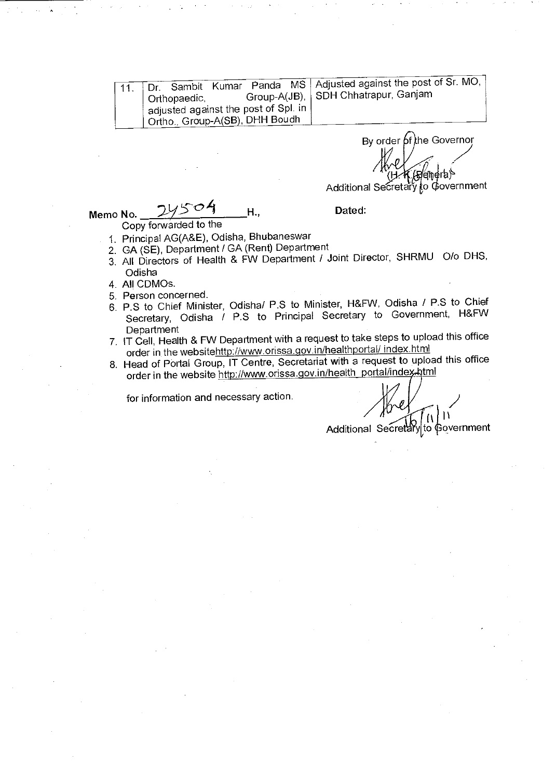Adjusted against the post of Sr. MO, SDH Chhatrapur, Ganjam Dr. Sambit Kumar Panda MS Orthopaedic, Group-A(JB), adjusted against the post of Spl. in Ortho., Group-A(SB), DHH Boudh 11.

By order  $6$  the Governor rb) Additional Secretary to Government

Memo No.  $245.07$  H., Dated:

Copy forwarded to the

- 1. Principal AG(A&E), Odisha, Bhubaneswar
- 2. GA (SE), Department / GA (Rent) Department
- 3. All Directors of Health & FW Department / Joint Director, SHRMU 0/o DHS, **Odisha**
- 4. All CDMOs.
- 5. Person concerned.
- 6. P.S to Chief Minister, Odisha/ P.S to Minister, H&FW, Odisha / P.S to Chief Secretary, Odisha / P.S to Principal Secretary to Government, H&FW **Department**
- 7. IT Cell, Health & FW Department with a request to take steps to upload this office order in the websitehttp://www.orissa.gov.in/healthportal/ index.html
- 8. Head of Portal Group, IT Centre, Secretariat with a request to upload this office order in the website http://www.orissa.gov.in/health\_portal/index.html

for information and necessary action.

I1

Additional Secret to Government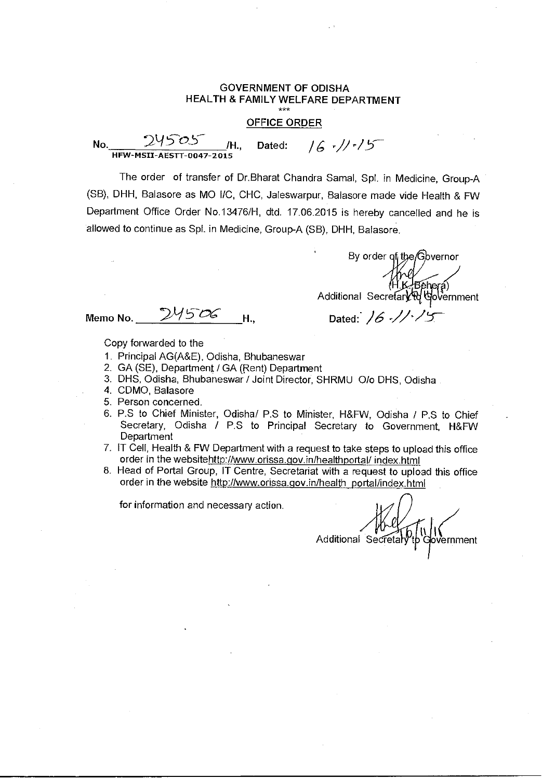#### **OFFICE ORDER**

**No.** 9.y 5-03- **/H., Dated:**  HEW-MSII-AESTT-0047-2015  $16 - 11 - 15$ 

The order of transfer of Dr.Bharat Chandra Samal, Spl. in Medicine, Group-A (SB), DHH, Balasore as MO I/C, CHC, Jaleswarpur, Balasore made vide Health & FW Department Office Order No.13476/H, dtd. 17.06.2015 is hereby cancelled and he is allowed to continue as Spl. in Medicine, Group-A (SB), **DHH,** Balasore.

By order of the Gbvernor Additional Secretary of the<br>Additional Secretary of the overnment

**Memo No.** 295 06 **H.,** Dated: 16 // 15

Copy forwarded to the

- 1. Principal AG(A&E), Odisha, Bhubaneswar
- 2. GA (SE), Department / GA (Rent) Department
- 3. DHS, Odisha, Bhubaneswar / Joint Director, SHRMU 0/o DHS, Odisha
- 4. CDMO, Balasore
- 5. Person concerned.
- 6. P.S to Chief Minister, Odisha/ P.S to Minister, H&FW, Odisha / P.S to Chief Secretary, Odisha / P.S to Principal Secretary to Government, H&FW **Department**
- 7. IT Cell, Health & FW Department with a request to take steps to upload this office order in the websitehttp://www.orissa.gov.in/healthportal/index.html
- 8. Head of Portal Group, IT Centre, Secretariat with a request to upload this office order in the website http://www.orissa.gov.in/health\_portal/index.html

Additional Secretar b Government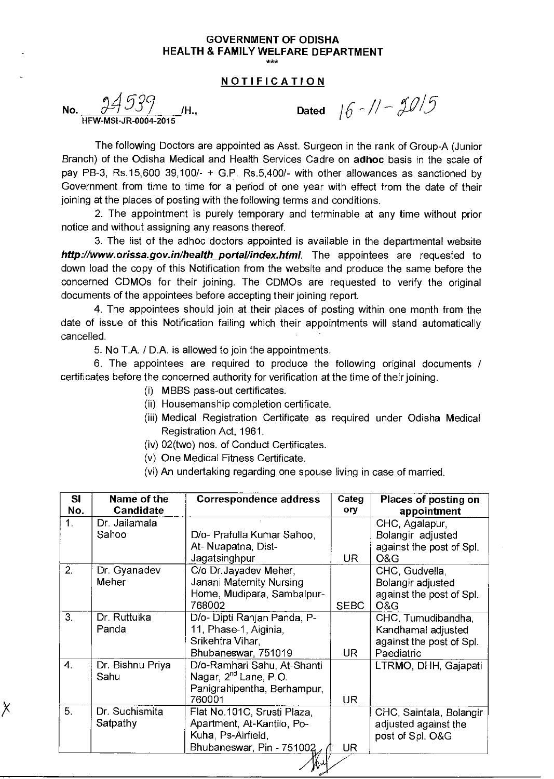## **NOTIFICATION**

**No.**  $\frac{94539}{40000000000000}$  $HFW-MSI-JR-0004$ 

X

Dated  $16 - 11 - 2015$ 

The following Doctors are appointed as Asst. Surgeon in the rank of Group-A (Junior Branch) of the Odisha Medical and Health Services Cadre on **adhoc** basis in the scale of pay PB-3, Rs.15,600 39,100/- + G.P. Rs.5,400/- with other allowances as sanctioned by Government from time to time for a period of one year with effect from the date of their joining at the places of posting with the following terms and conditions.

2. The appointment is purely temporary and terminable at any time without prior notice and without assigning any reasons thereof

3. The list of the adhoc doctors appointed is available in the departmental website **http://www.orissa.gov.in/health\_portal/index.html.** The appointees are requested to down load the copy of this Notification from the website and produce the same before the concerned CDMOs for their joining. The CDMOs are requested to verify the original documents of the appointees before accepting their joining report.

4. The appointees should join at their places of posting within one month from the date of issue of this Notification failing which their appointments will stand automatically cancelled.

5. No T.A. / D.A. is allowed to join the appointments.

6. The appointees are required to produce the following original documents / certificates before the concerned authority for verification at the time of their joining.

- (i) MBBS pass-out certificates.
- (ii) Housemanship completion certificate.
- (iii) Medical Registration Certificate as required under Odisha Medical Registration Act, 1961.
- (iv) 02(two) nos. of Conduct Certificates.
- (v) One Medical Fitness Certificate.
- (vi) An undertaking regarding one spouse living in case of married.

| SI<br>No.      | Name of the<br>Candidate   | <b>Correspondence address</b>                                                                                 | Categ<br>ory | Places of posting on<br>appointment                                                |
|----------------|----------------------------|---------------------------------------------------------------------------------------------------------------|--------------|------------------------------------------------------------------------------------|
| 1.             | Dr. Jailamala<br>Sahoo     | D/o- Prafulla Kumar Sahoo,<br>At- Nuapatna, Dist-<br>Jagatsinghpur                                            | UR.          | CHC, Agalapur,<br>Bolangir adjusted<br>against the post of Spl.<br>O&G             |
| 2.             | Dr. Gyanadev<br>Meher      | C/o Dr. Jayadev Meher,<br>Janani Maternity Nursing<br>Home, Mudipara, Sambalpur-<br>768002                    | <b>SEBC</b>  | CHC, Gudvella,<br>Bolangir adjusted<br>against the post of Spl.<br>O&G             |
| 3 <sub>1</sub> | Dr. Ruttuika<br>Panda      | D/o- Dipti Ranjan Panda, P-<br>11, Phase-1, Aiginia,<br>Srikehtra Vihar,<br>Bhubaneswar, 751019               | <b>UR</b>    | CHC, Tumudibandha,<br>Kandhamal adjusted<br>against the post of Spl.<br>Paediatric |
| 4 <sub>1</sub> | Dr. Bishnu Priya<br>Sahu   | D/o-Ramhari Sahu, At-Shanti<br>Nagar, 2 <sup>nd</sup> Lane, P.O.<br>Panigrahipentha, Berhampur,<br>760001     | <b>UR</b>    | LTRMO, DHH, Gajapati                                                               |
| 5.             | Dr. Suchismita<br>Satpathy | Flat No.101C, Srusti Plaza,<br>Apartment, At-Kantilo, Po-<br>Kuha, Ps-Airfield,<br>Bhubaneswar, Pin - 751002, | <b>UR</b>    | CHC, Saintala, Bolangir<br>adjusted against the<br>post of Spl. O&G                |

МΨ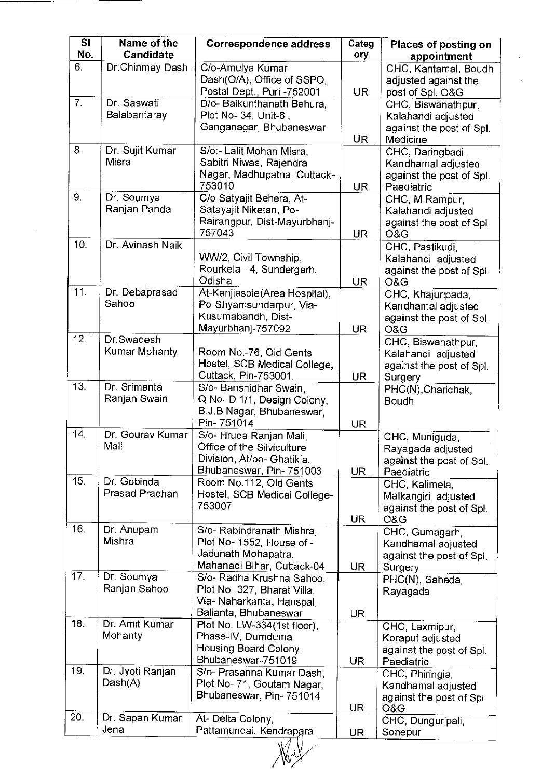| SI<br>No.      | Name of the<br>Candidate      | <b>Correspondence address</b>                                                                                  | Categ<br>ory | Places of posting on<br>appointment                                              |
|----------------|-------------------------------|----------------------------------------------------------------------------------------------------------------|--------------|----------------------------------------------------------------------------------|
| 6.             | Dr.Chinmay Dash               | C/o-Amulya Kumar<br>Dash(O/A), Office of SSPO,<br>Postal Dept., Puri -752001                                   | <b>UR</b>    | CHC, Kantamal, Boudh<br>adjusted against the<br>post of Spl. O&G                 |
| 7 <sub>1</sub> | Dr. Saswati<br>Balabantaray   | D/o- Baikunthanath Behura,<br>Plot No- 34, Unit-6,<br>Ganganagar, Bhubaneswar                                  | <b>UR</b>    | CHC, Biswanathpur,<br>Kalahandi adjusted<br>against the post of Spl.<br>Medicine |
| 8.             | Dr. Sujit Kumar<br>Misra      | S/o:- Lalit Mohan Misra,<br>Sabitri Niwas, Rajendra<br>Nagar, Madhupatna, Cuttack-<br>753010                   | <b>UR</b>    | CHC, Daringbadi,<br>Kandhamal adjusted<br>against the post of Spl.<br>Paediatric |
| 9.             | Dr. Soumya<br>Ranjan Panda    | C/o Satyajit Behera, At-<br>Satayajit Niketan, Po-<br>Rairangpur, Dist-Mayurbhanj-<br>757043                   | <b>UR</b>    | CHC, M Rampur,<br>Kalahandi adjusted<br>against the post of Spl.<br>O&G          |
| 10.            | Dr. Avinash Naik              | WW/2, Civil Township,<br>Rourkela - 4, Sundergarh,<br>Odisha                                                   | <b>UR</b>    | CHC, Pastikudi,<br>Kalahandi adjusted<br>against the post of Spl.<br>O&G         |
| 11.            | Dr. Debaprasad<br>Sahoo       | At-Kanjiasole(Area Hospital),<br>Po-Shyamsundarpur, Via-<br>Kusumabandh, Dist-<br>Mayurbhanj-757092            | <b>UR</b>    | CHC, Khajuripada,<br>Kandhamal adjusted<br>against the post of Spl.<br>O&G       |
| 12.            | Dr. Swadesh<br>Kumar Mohanty  | Room No.-76, Old Gents<br>Hostel, SCB Medical College,<br>Cuttack, Pin-753001.                                 | UR           | CHC, Biswanathpur,<br>Kalahandi adjusted<br>against the post of Spl.<br>Surgery  |
| 13.            | Dr. Srimanta<br>Ranjan Swain  | S/o- Banshidhar Swain,<br>Q.No- D 1/1, Design Colony,<br>B.J.B Nagar, Bhubaneswar,<br>Pin-751014               | <b>UR</b>    | PHC(N), Charichak,<br>Boudh                                                      |
| 14.            | Dr. Gourav Kumar<br>Mali      | S/o- Hruda Ranjan Mali,<br>Office of the Silviculture<br>Division, At/po- Ghatikia,<br>Bhubaneswar, Pin-751003 | <b>UR</b>    | CHC, Muniguda,<br>Rayagada adjusted<br>against the post of Spl.<br>Paediatric    |
| 15.            | Dr. Gobinda<br>Prasad Pradhan | Room No.112, Old Gents<br>Hostel, SCB Medical College-<br>753007                                               | <b>UR</b>    | CHC, Kalimela,<br>Malkangiri adjusted<br>against the post of Spl.<br>O&G         |
| 16.            | Dr. Anupam<br>Mishra          | S/o- Rabindranath Mishra,<br>Plot No- 1552, House of -<br>Jadunath Mohapatra,<br>Mahanadi Bihar, Cuttack-04    | <b>UR</b>    | CHC, Gumagarh,<br>Kandhamal adjusted<br>against the post of Spl.<br>Surgery      |
| 17.            | Dr. Soumya<br>Ranjan Sahoo    | S/o- Radha Krushna Sahoo,<br>Plot No- 327, Bharat Villa,<br>Via- Naharkanta, Hanspal,<br>Balianta, Bhubaneswar | UR.          | PHC(N), Sahada,<br>Rayagada                                                      |
| 18.            | Dr. Amit Kumar<br>Mohanty     | Plot No. LW-334(1st floor),<br>Phase-IV, Dumduma<br>Housing Board Colony,<br>Bhubaneswar-751019                | <b>UR</b>    | CHC, Laxmipur,<br>Koraput adjusted<br>against the post of Spl.<br>Paediatric     |
| 19.            | Dr. Jyoti Ranjan<br>Dash(A)   | S/o- Prasanna Kumar Dash,<br>Plot No- 71, Goutam Nagar,<br>Bhubaneswar, Pin-751014                             | UR           | CHC, Phiringia,<br>Kandhamal adjusted<br>against the post of Spl.<br>O&G         |
| 20.            | Dr. Sapan Kumar<br>Jena       | At- Delta Colony,<br>Pattamundai, Kendrapara                                                                   | UR           | CHC, Dunguripali,<br>Sonepur                                                     |

 $\mathcal{A}^{\mathcal{A}}$ 

 $\mathcal{A}^{\text{max}}$ 

 $\mathbb{Z}$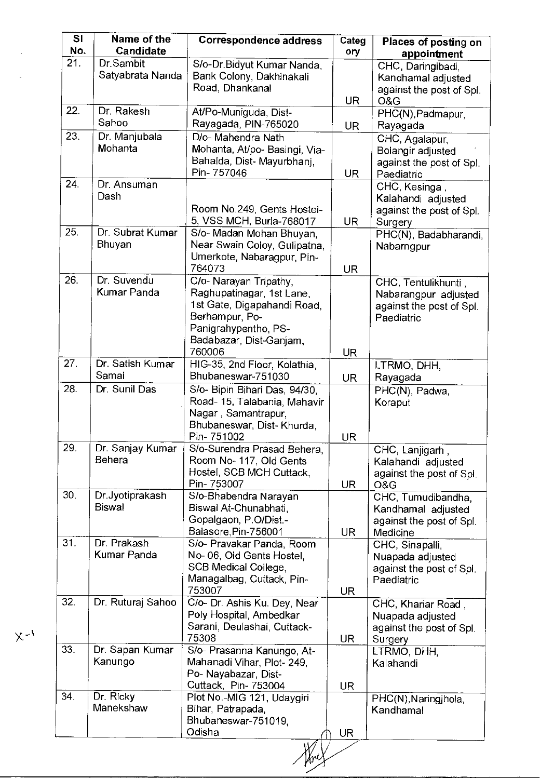| s <sub>l</sub><br>No. | Name of the<br>Candidate          | <b>Correspondence address</b>                                                                                                                                     | Categ<br>ory     | Places of posting on<br>appointment                                                   |
|-----------------------|-----------------------------------|-------------------------------------------------------------------------------------------------------------------------------------------------------------------|------------------|---------------------------------------------------------------------------------------|
| 21.                   | Dr.Sambit<br>Satyabrata Nanda     | S/o-Dr.Bidyut Kumar Nanda,<br>Bank Colony, Dakhinakali<br>Road, Dhankanal                                                                                         |                  | CHC, Daringibadi,<br>Kandhamal adjusted<br>against the post of Spl.                   |
| 22.                   | Dr. Rakesh<br>Sahoo               | At/Po-Muniguda, Dist-<br>Rayagada, PIN-765020                                                                                                                     | UR.<br><b>UR</b> | O&G<br>PHC(N), Padmapur,<br>Rayagada                                                  |
| 23.                   | Dr. Manjubala<br>Mohanta          | D/o- Mahendra Nath<br>Mohanta, At/po- Basingi, Via-<br>Bahalda, Dist- Mayurbhanj,<br>Pin-757046                                                                   | UR.              | CHC, Agalapur,<br>Bolangir adjusted<br>against the post of Spl.<br>Paediatric         |
| 24.                   | Dr. Ansuman<br>Dash               | Room No.249, Gents Hostel-<br>5, VSS MCH, Burla-768017                                                                                                            | <b>UR</b>        | CHC, Kesinga,<br>Kalahandi adjusted<br>against the post of Spl.<br>Surgery            |
| 25.                   | Dr. Subrat Kumar<br><b>Bhuyan</b> | S/o- Madan Mohan Bhuyan,<br>Near Swain Coloy, Gulipatna,<br>Umerkote, Nabaragpur, Pin-<br>764073                                                                  | <b>UR</b>        | PHC(N), Badabharandi,<br>Nabarngpur                                                   |
| 26.                   | Dr. Suvendu<br>Kumar Panda        | C/o- Narayan Tripathy,<br>Raghupatinagar, 1st Lane,<br>1st Gate, Digapahandi Road,<br>Berhampur, Po-<br>Panigrahypentho, PS-<br>Badabazar, Dist-Ganjam,<br>760006 | <b>UR</b>        | CHC, Tentulikhunti,<br>Nabarangpur adjusted<br>against the post of Spl.<br>Paediatric |
| 27.                   | Dr. Satish Kumar<br>Samal         | HIG-35, 2nd Floor, Kolathia,<br>Bhubaneswar-751030                                                                                                                | <b>UR</b>        | LTRMO, DHH,<br>Rayagada                                                               |
| 28.                   | Dr. Sunil Das                     | S/o- Bipin Bihari Das, 94/30,<br>Road- 15, Talabania, Mahavir<br>Nagar, Samantrapur,<br>Bhubaneswar, Dist- Khurda,<br>Pin-751002                                  | <b>UR</b>        | $\overline{\mathsf{PHC}(\mathsf{N})}$ , Padwa,<br>Koraput                             |
| 29                    | Dr. Sanjay Kumar<br>Behera        | S/o-Surendra Prasad Behera,<br>Room No- 117, Old Gents<br>Hostel, SCB MCH Cuttack,<br>Pin-753007                                                                  | <b>UR</b>        | CHC, Lanjigarh,<br>Kalahandi adjusted<br>against the post of Spl.<br>O&G              |
| 30.                   | Dr.Jyotiprakash<br><b>Biswal</b>  | S/o-Bhabendra Narayan<br>Biswal At-Chunabhati,<br>Gopalgaon, P.O/Dist.-<br>Balasore, Pin-756001                                                                   | <b>UR</b>        | CHC, Tumudibandha,<br>Kandhamal adjusted<br>against the post of Spl.<br>Medicine      |
| 31.                   | Dr. Prakash<br>Kumar Panda        | S/o- Pravakar Panda, Room<br>No-06, Old Gents Hostel.<br>SCB Medical College,<br>Managalbag, Cuttack, Pin-<br>753007                                              | <b>UR</b>        | CHC, Sinapalli,<br>Nuapada adjusted<br>against the post of Spl.<br>Paediatric         |
| 32.                   | Dr. Ruturaj Sahoo                 | C/o- Dr. Ashis Ku. Dey, Near<br>Poly Hospital, Ambedkar<br>Sarani, Deulashai, Cuttack-<br>75308                                                                   | UR               | CHC, Khariar Road ,<br>Nuapada adjusted<br>against the post of Spl.<br>Surgery        |
| 33.                   | Dr. Sapan Kumar<br>Kanungo        | S/o- Prasanna Kanungo, At-<br>Mahanadi Vihar, Plot-249,<br>Po- Nayabazar, Dist-<br>Cuttack, Pin- 753004                                                           | <b>UR</b>        | LTRMO, DHH.<br>Kalahandi                                                              |
| 34.                   | Dr. Ricky<br>Manekshaw            | Plot No.-MIG 121, Udaygiri<br>Bihar, Patrapada,<br>Bhubaneswar-751019,<br>Odisha                                                                                  | UR               | PHC(N), Naringjhola,<br>Kandhamal                                                     |
|                       |                                   |                                                                                                                                                                   |                  |                                                                                       |

 $\bar{\mathcal{A}}$ 

 $\chi_{\uparrow}$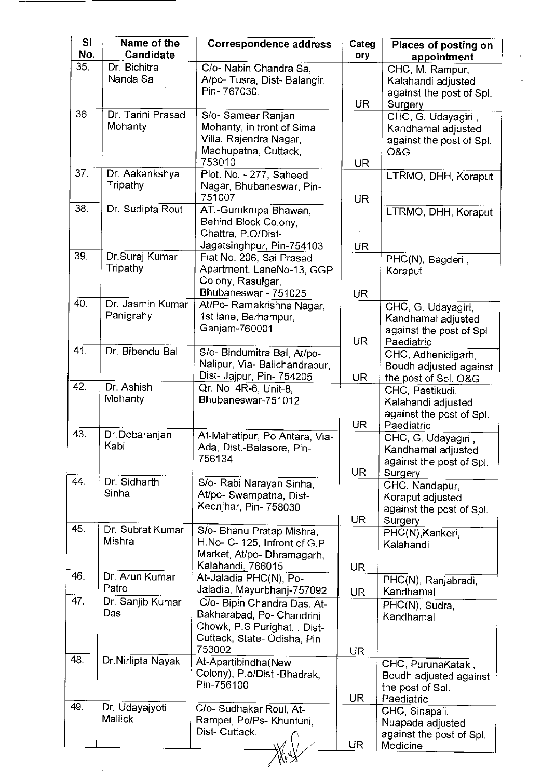| SI<br>No. | Name of the<br>Candidate      | <b>Correspondence address</b>                                                                                                    | Categ<br>ory | Places of posting on<br>appointment                                                |
|-----------|-------------------------------|----------------------------------------------------------------------------------------------------------------------------------|--------------|------------------------------------------------------------------------------------|
| 35.       | Dr. Bichitra<br>Nanda Sa      | C/o- Nabin Chandra Sa,<br>A/po- Tusra, Dist- Balangir,<br>Pin-767030.                                                            |              | CHC, M. Rampur,<br>Kalahandi adjusted                                              |
| 36.       |                               |                                                                                                                                  | <b>UR</b>    | against the post of Spl.<br>Surgery                                                |
|           | Dr. Tarini Prasad<br>Mohanty  | S/o- Sameer Ranjan<br>Mohanty, in front of Sima<br>Villa, Rajendra Nagar,<br>Madhupatna, Cuttack,                                |              | CHC, G. Udayagiri,<br>Kandhamal adjusted<br>against the post of Spl.<br>O&G        |
| 37.       | Dr. Aakankshya                | 753010<br>Plot. No. - 277, Saheed                                                                                                | UR           |                                                                                    |
|           | <b>Tripathy</b>               | Nagar, Bhubaneswar, Pin-<br>751007                                                                                               | UR.          | LTRMO, DHH, Koraput                                                                |
| 38.       | Dr. Sudipta Rout              | AT.-Gurukrupa Bhawan,<br>Behind Block Colony,<br>Chattra, P.O/Dist-<br>Jagatsinghpur, Pin-754103                                 | UR.          | LTRMO, DHH, Koraput                                                                |
| 39.       | Dr.Suraj Kumar<br>Tripathy    | Flat No. 206, Sai Prasad<br>Apartment, LaneNo-13, GGP<br>Colony, Rasulgar,<br>Bhubaneswar - 751025                               | <b>UR</b>    | PHC(N), Bagderi,<br>Koraput                                                        |
| 40.       | Dr. Jasmin Kumar<br>Panigrahy | At/Po- Ramakrishna Nagar,<br>1st lane, Berhampur,<br>Ganjam-760001                                                               | <b>UR</b>    | CHC, G. Udayagiri,<br>Kandhamal adjusted<br>against the post of Spl.<br>Paediatric |
| 41.       | Dr. Bibendu Bal               | S/o- Bindumitra Bal, At/po-<br>Nalipur, Via- Balichandrapur,<br>Dist- Jajpur, Pin- 754205                                        | UR.          | CHC, Adhenidigarh,<br>Boudh adjusted against<br>the post of Spl. O&G               |
| 42.       | Dr. Ashish<br>Mohanty         | Qr. No. 4R-6, Unit-8,<br>Bhubaneswar-751012                                                                                      | <b>UR</b>    | CHC, Pastikudi,<br>Kalahandi adjusted<br>against the post of Spl.<br>Paediatric    |
| 43.       | Dr. Debaranjan<br>Kabi        | At-Mahatipur, Po-Antara, Via-<br>Ada, Dist.-Balasore, Pin-<br>756134                                                             | UR.          | CHC, G. Udayagiri,<br>Kandhamal adjusted<br>against the post of Spl.<br>Surgery    |
| 44.       | Dr. Sidharth<br>Sinha         | S/o- Rabi Narayan Sinha,<br>At/po- Swampatna, Dist-<br>Keonjhar, Pin- 758030                                                     | <b>UR</b>    | CHC, Nandapur,<br>Koraput adjusted<br>against the post of Spl.<br>Surgery          |
| 45.       | Dr. Subrat Kumar<br>Mishra    | S/o- Bhanu Pratap Mishra,<br>H.No- C-125, Infront of G.P<br>Market, At/po- Dhramagarh,<br>Kalahandi, 766015                      | <b>UR</b>    | PHC(N), Kankeri,<br>Kalahandi                                                      |
| 46.       | Dr. Arun Kumar<br>Patro       | At-Jaladia PHC(N), Po-<br>Jaladia, Mayurbhanj-757092                                                                             | <b>UR</b>    | PHC(N), Ranjabradi,<br>Kandhamal                                                   |
| 47        | Dr. Sanjib Kumar<br>Das       | C/o- Bipin Chandra Das. At-<br>Bakharabad, Po- Chandrini<br>Chowk, P.S Purighat, , Dist-<br>Cuttack, State-Odisha, Pin<br>753002 | UR.          | PHC(N), Sudra,<br>Kandhamal                                                        |
| 48        | Dr.Nirlipta Nayak             | At-Apartibindha(New<br>Colony), P.o/Dist.-Bhadrak,<br>Pin-756100                                                                 | UR           | CHC, PurunaKatak,<br>Boudh adjusted against<br>the post of Spl.<br>Paediatric      |
| 49.       | Dr. Udayajyoti<br>Mallick     | C/o- Sudhakar Roul, At-<br>Rampei, Po/Ps- Khuntuni,<br>Dist- Cuttack.                                                            | <b>UR</b>    | CHC, Sinapali,<br>Nuapada adjusted<br>against the post of Spl.<br>Medicine         |

 $\epsilon$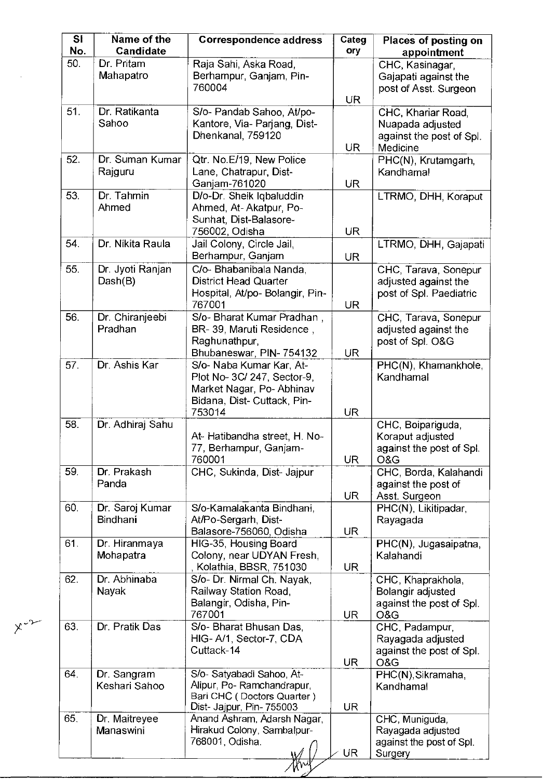| SI<br>No. | Name of the<br><b>Candidate</b> | <b>Correspondence address</b>                                                                                                | Categ<br>ory | Places of posting on<br>appointment                                            |
|-----------|---------------------------------|------------------------------------------------------------------------------------------------------------------------------|--------------|--------------------------------------------------------------------------------|
| 50.       | Dr. Pritam<br>Mahapatro         | Raja Sahi, Aska Road,<br>Berhampur, Ganjam, Pin-<br>760004                                                                   | <b>UR</b>    | CHC, Kasinagar,<br>Gajapati against the<br>post of Asst. Surgeon               |
| 51.       | Dr. Ratikanta<br>Sahoo          | S/o- Pandab Sahoo, At/po-<br>Kantore, Via- Parjang, Dist-<br>Dhenkanal, 759120                                               | <b>UR</b>    | CHC, Khariar Road,<br>Nuapada adjusted<br>against the post of Spl.<br>Medicine |
| 52.       | Dr. Suman Kumar<br>Rajguru      | Qtr. No.E/19, New Police<br>Lane, Chatrapur, Dist-<br>Ganjam-761020                                                          | <b>UR</b>    | PHC(N), Krutamgarh,<br>Kandhamal                                               |
| 53.       | Dr. Tahmin<br>Ahmed             | D/o-Dr. Sheik Iqbaluddin<br>Ahmed, At-Akatpur, Po-<br>Sunhat, Dist-Balasore-<br>756002, Odisha                               | <b>UR</b>    | LTRMO, DHH, Koraput                                                            |
| 54.       | Dr. Nikita Raula                | Jail Colony, Circle Jail,<br>Berhampur, Ganjam                                                                               | UR.          | LTRMO, DHH, Gajapati                                                           |
| 55.       | Dr. Jyoti Ranjan<br>Dash(B)     | C/o- Bhabanibala Nanda,<br><b>District Head Quarter</b><br>Hospital, At/po- Bolangir, Pin-<br>767001                         | <b>UR</b>    | CHC, Tarava, Sonepur<br>adjusted against the<br>post of Spl. Paediatric        |
| 56.       | Dr. Chiranjeebi<br>Pradhan      | S/o- Bharat Kumar Pradhan,<br>BR-39, Maruti Residence,<br>Raghunathpur,<br>Bhubaneswar, PIN-754132                           | <b>UR</b>    | CHC, Tarava, Sonepur<br>adjusted against the<br>post of Spl. O&G               |
| 57.       | Dr. Ashis Kar                   | S/o- Naba Kumar Kar, At-<br>Plot No- 3C/ 247, Sector-9,<br>Market Nagar, Po-Abhinav<br>Bidana, Dist- Cuttack, Pin-<br>753014 | <b>UR</b>    | PHC(N), Khamankhole,<br>Kandhamal                                              |
| 58.       | Dr. Adhiraj Sahu                | At- Hatibandha street, H. No-<br>77, Berhampur, Ganjam-<br>760001                                                            | <b>UR</b>    | CHC, Boipariguda,<br>Koraput adjusted<br>against the post of Spl.<br>O&G       |
| 59.       | Dr. Prakash<br>Panda            | CHC, Sukinda, Dist- Jajpur                                                                                                   | <b>UR</b>    | CHC, Borda, Kalahandi<br>against the post of<br>Asst. Surgeon                  |
| 60.       | Dr. Saroj Kumar<br>Bindhani     | S/o-Kamalakanta Bindhani,<br>At/Po-Sergarh, Dist-<br>Balasore-756060, Odisha                                                 | UR.          | PHC(N), Likitipadar,<br>Rayagada                                               |
| 61.       | Dr. Hiranmaya<br>Mohapatra      | HIG-35, Housing Board<br>Colony, near UDYAN Fresh,<br>, Kolathia, BBSR, 751030                                               | UR.          | PHC(N), Jugasaipatna,<br>Kalahandi                                             |
| 62.       | Dr. Abhinaba<br>Nayak           | S/o- Dr. Nirmal Ch. Nayak,<br>Railway Station Road,<br>Balangir, Odisha, Pin-<br>767001                                      | UR.          | CHC, Khaprakhola,<br>Bolangir adjusted<br>against the post of Spl.<br>O&G      |
| 63.       | Dr. Pratik Das                  | S/o- Bharat Bhusan Das,<br>HIG-A/1, Sector-7, CDA<br>Cuttack-14                                                              | <b>UR</b>    | CHC, Padampur,<br>Rayagada adjusted<br>against the post of Spl.<br>O&G         |
| 64.       | Dr. Sangram<br>Keshari Sahoo    | S/o- Satyabadi Sahoo, At-<br>Alipur, Po-Ramchandrapur,<br>Bari CHC (Doctors Quarter)<br>Dist- Jajpur, Pin- 755003            | <b>UR</b>    | PHC(N), Sikramaha,<br>Kandhamal                                                |
| 65.       | Dr. Maitreyee<br>Manaswini      | Anand Ashram, Adarsh Nagar,<br>Hirakud Colony, Sambalpur-<br>768001, Odisha.                                                 | <b>UR</b>    | CHC, Muniguda,<br>Rayagada adjusted<br>against the post of Spl.<br>Surgery     |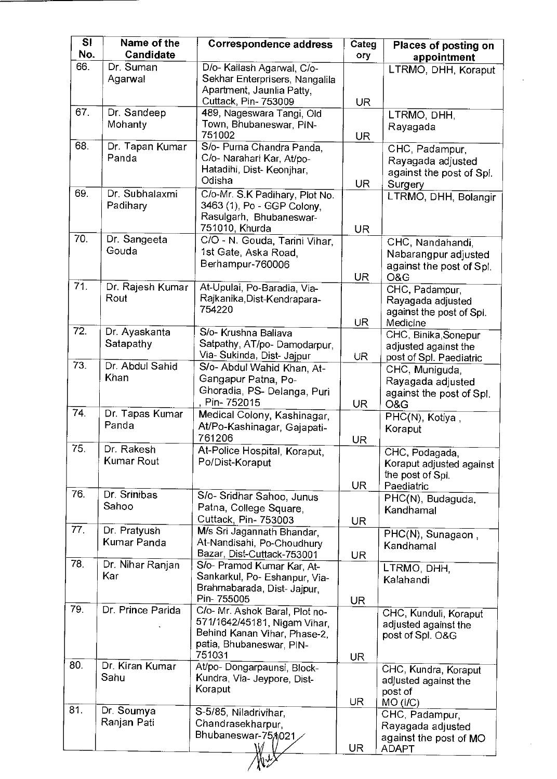| <b>SI</b><br>No. | Name of the<br>Candidate | <b>Correspondence address</b>                            | Categ<br>ory | Places of posting on                          |
|------------------|--------------------------|----------------------------------------------------------|--------------|-----------------------------------------------|
| 66.              | Dr. Suman                | D/o- Kailash Agarwal, C/o-                               |              | appointment<br>LTRMO, DHH, Koraput            |
|                  | Agarwal                  | Sekhar Enterprisers, Nangalila                           |              |                                               |
|                  |                          | Apartment, Jaunlia Patty,<br>Cuttack, Pin- 753009        |              |                                               |
| 67.              | Dr. Sandeep              | 489, Nageswara Tangi, Old                                | <b>UR</b>    | LTRMO, DHH,                                   |
|                  | Mohanty                  | Town, Bhubaneswar, PIN-                                  |              | Rayagada                                      |
|                  |                          | 751002                                                   | <b>UR</b>    |                                               |
| 68.              | Dr. Tapan Kumar<br>Panda | S/o- Purna Chandra Panda,<br>C/o- Narahari Kar, At/po-   |              | CHC, Padampur,                                |
|                  |                          | Hatadihi, Dist- Keonjhar,                                |              | Rayagada adjusted<br>against the post of Spl. |
|                  |                          | Odisha                                                   | <b>UR</b>    | Surgery                                       |
| 69.              | Dr. Subhalaxmi           | C/o-Mr. S.K Padihary, Plot No.                           |              | LTRMO, DHH, Bolangir                          |
|                  | Padihary                 | 3463 (1), Po - GGP Colony,<br>Rasulgarh, Bhubaneswar-    |              |                                               |
|                  |                          | 751010, Khurda                                           | <b>UR</b>    |                                               |
| 70.              | Dr. Sangeeta             | C/O - N. Gouda, Tarini Vihar,                            |              | CHC, Nandahandi,                              |
|                  | Gouda                    | 1st Gate, Aska Road,                                     |              | Nabarangpur adjusted                          |
|                  |                          | Berhampur-760006                                         |              | against the post of Spl.                      |
| 71.              | Dr. Rajesh Kumar         | At-Upulai, Po-Baradia, Via-                              | <b>UR</b>    | O&G<br>CHC, Padampur,                         |
|                  | Rout                     | Rajkanika, Dist-Kendrapara-                              |              | Rayagada adjusted                             |
|                  |                          | 754220                                                   |              | against the post of Spl.                      |
| 72.              | Dr. Ayaskanta            | S/o- Krushna Ballava                                     | UR.          | Medicine<br>CHC, Binika, Sonepur              |
|                  | Satapathy                | Satpathy, AT/po-Damodarpur,                              |              | adjusted against the                          |
|                  |                          | Via- Sukinda, Dist- Jajpur                               | <b>UR</b>    | post of Spl. Paediatric                       |
| 73.              | Dr. Abdul Sahid<br>Khan  | S/o- Abdul Wahid Khan, At-                               |              | CHC, Muniguda,                                |
|                  |                          | Gangapur Patna, Po-<br>Ghoradia, PS- Delanga, Puri       |              | Rayagada adjusted                             |
|                  |                          | , Pin- 752015                                            | <b>UR</b>    | against the post of Spl.<br>O&G               |
| 74.              | Dr. Tapas Kumar          | Medical Colony, Kashinagar,                              |              | PHC(N), Kotiya,                               |
|                  | Panda                    | At/Po-Kashinagar, Gajapati-                              |              | Koraput                                       |
| 75.              | Dr. Rakesh               | 761206<br>At-Police Hospital, Koraput,                   | <b>UR</b>    | CHC, Podagada,                                |
|                  | <b>Kumar Rout</b>        | Po/Dist-Koraput                                          |              | Koraput adjusted against                      |
|                  |                          |                                                          |              | the post of Spl.                              |
| 76.              | Dr. Srinibas             |                                                          | <b>UR</b>    | Paediatric                                    |
|                  | Sahoo                    | S/o- Sridhar Sahoo, Junus<br>Patna, College Square,      |              | PHC(N), Budaguda,<br>Kandhamal                |
|                  |                          | Cuttack, Pin- 753003                                     | <b>UR</b>    |                                               |
| 77.              | Dr. Pratyush             | M/s Sri Jagannath Bhandar,                               |              | PHC(N), Sunagaon,                             |
|                  | Kumar Panda              | At-Nandisahi, Po-Choudhury<br>Bazar, Dist-Cuttack-753001 |              | Kandhamal                                     |
| 78.              | Dr. Nihar Ranjan         | S/o- Pramod Kumar Kar, At-                               | <b>UR</b>    | LTRMO, DHH,                                   |
|                  | Kar                      | Sankarkul, Po- Eshanpur, Via-                            |              | Kalahandi                                     |
|                  |                          | Brahmabarada, Dist- Jajpur,                              |              |                                               |
| 79.              | Dr. Prince Parida        | Pin- 755005<br>C/o- Mr. Ashok Baral, Plot no-            | <b>UR</b>    |                                               |
|                  |                          | 571/1642/45181, Nigam Vihar,                             |              | CHC, Kunduli, Koraput<br>adjusted against the |
|                  |                          | Behind Kanan Vihar, Phase-2,                             |              | post of Spl. O&G                              |
|                  |                          | patia, Bhubaneswar, PIN-<br>751031                       |              |                                               |
| 80.              | Dr. Kiran Kumar          | At/po- Dongarpaunsi, Block-                              | UR           | CHC, Kundra, Koraput                          |
|                  | Sahu                     | Kundra, Via- Jeypore, Dist-                              |              | adjusted against the                          |
|                  |                          | Koraput                                                  |              | post of                                       |
| 81.              | Dr. Soumya               | S-5/85, Niladrivihar,                                    | <b>UR</b>    | $MO$ ( $I/C$ )                                |
|                  | Ranjan Pati              | Chandrasekharpur,                                        |              | CHC, Padampur,<br>Rayagada adjusted           |
|                  |                          | Bhubaneswar-754021                                       |              | against the post of MO                        |
|                  |                          |                                                          | <b>UR</b>    | <b>ADAPT</b>                                  |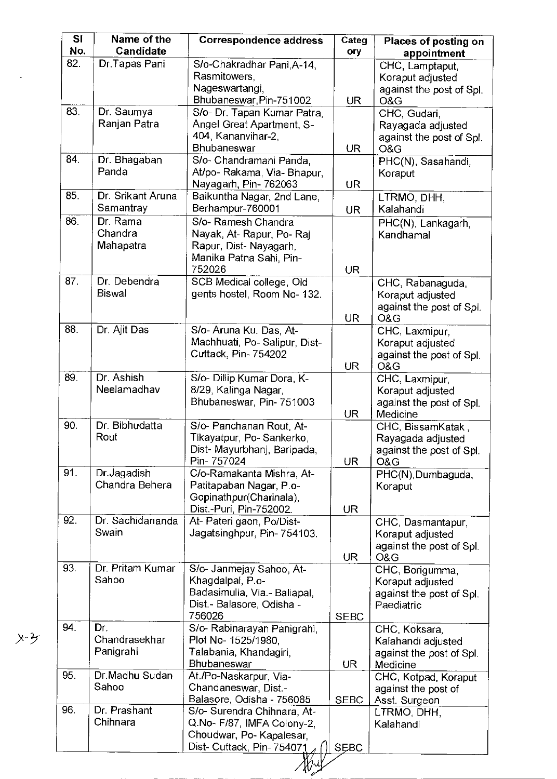| SI<br>No. | Name of the<br>Candidate      | <b>Correspondence address</b>                      | Categ<br>ory | Places of posting on<br>appointment            |
|-----------|-------------------------------|----------------------------------------------------|--------------|------------------------------------------------|
| 82.       | Dr.Tapas Pani                 | S/o-Chakradhar Pani, A-14,                         |              | CHC, Lamptaput,                                |
|           |                               | Rasmitowers,                                       |              | Koraput adjusted                               |
|           |                               | Nageswartangi,                                     |              | against the post of Spl.                       |
|           |                               | Bhubaneswar, Pin-751002                            | <b>UR</b>    | O&G                                            |
| 83.       | Dr. Saumya                    | S/o- Dr. Tapan Kumar Patra,                        |              | CHC, Gudari,                                   |
|           | Ranjan Patra                  | Angel Great Apartment, S-                          |              | Rayagada adjusted                              |
|           |                               | 404, Kananvihar-2,<br><b>Bhubaneswar</b>           |              | against the post of Spl.                       |
| 84.       | Dr. Bhagaban                  | S/o- Chandramani Panda,                            | <b>UR</b>    | O&G<br>PHC(N), Sasahandi,                      |
|           | Panda                         | At/po- Rakama, Via- Bhapur,                        |              | Koraput                                        |
|           |                               | Nayagarh, Pin-762063                               | <b>UR</b>    |                                                |
| 85.       | Dr. Srikant Aruna             | Baikuntha Nagar, 2nd Lane,                         |              | LTRMO, DHH,                                    |
|           | Samantray                     | Berhampur-760001                                   | <b>UR</b>    | Kalahandi                                      |
| 86.       | Dr. Rama                      | S/o- Ramesh Chandra                                |              | PHC(N), Lankagarh,                             |
|           | Chandra                       | Nayak, At-Rapur, Po-Raj                            |              | Kandhamal                                      |
|           | Mahapatra                     | Rapur, Dist-Nayagarh,                              |              |                                                |
|           |                               | Manika Patna Sahi, Pin-                            |              |                                                |
|           |                               | 752026                                             | <b>UR</b>    |                                                |
| 87.       | Dr. Debendra<br><b>Biswal</b> | SCB Medical college, Old                           |              | CHC, Rabanaguda,                               |
|           |                               | gents hostel, Room No- 132.                        |              | Koraput adjusted                               |
|           |                               |                                                    | <b>UR</b>    | against the post of Spl.<br>O&G                |
| 88.       | Dr. Ajit Das                  | S/o- Aruna Ku. Das, At-                            |              | CHC, Laxmipur                                  |
|           |                               | Machhuati, Po-Salipur, Dist-                       |              | Koraput adjusted                               |
|           |                               | Cuttack, Pin- 754202                               |              | against the post of Spl.                       |
|           |                               |                                                    | <b>UR</b>    | O&G                                            |
| 89.       | Dr. Ashish                    | S/o- Dillip Kumar Dora, K-                         |              | CHC, Laxmipur,                                 |
|           | Neelamadhav                   | 8/29, Kalinga Nagar,                               |              | Koraput adjusted                               |
|           |                               | Bhubaneswar, Pin-751003                            |              | against the post of Spl.                       |
| 90.       | Dr. Bibhudatta                | S/o- Panchanan Rout, At-                           | UR           | Medicine                                       |
|           | Rout                          | Tikayatpur, Po-Sankerko,                           |              | CHC, BissamKatak,<br>Rayagada adjusted         |
|           |                               | Dist- Mayurbhanj, Baripada.                        |              | against the post of Spl.                       |
|           |                               | Pin-757024                                         | UR           | O&G                                            |
| 91.       | Dr. Jagadish                  | C/o-Ramakanta Mishra, At-                          |              | PHC(N), Dumbaguda,                             |
|           | Chandra Behera                | Patitapaban Nagar, P.o-                            |              | Koraput                                        |
|           |                               | Gopinathpur(Charinala),                            |              |                                                |
|           |                               | Dist.-Puri, Pin-752002.                            | UR           |                                                |
| 92.       | Dr. Sachidananda<br>Swain     | At- Pateri gaon, Po/Dist-                          |              | CHC, Dasmantapur,                              |
|           |                               | Jagatsinghpur, Pin-754103.                         |              | Koraput adjusted<br>against the post of Spl.   |
|           |                               |                                                    | UR           | O&G                                            |
| 93.       | Dr. Pritam Kumar              | S/o- Janmejay Sahoo, At-                           |              | CHC, Borigumma,                                |
|           | Sahoo                         | Khagdalpal, P.o-                                   |              | Koraput adjusted                               |
|           |                               | Badasimulia, Via.- Baliapal,                       |              | against the post of Spl.                       |
|           |                               | Dist - Balasore, Odisha -                          |              | Paediatric                                     |
| 94.       | Dr.                           | 756026                                             | <b>SEBC</b>  |                                                |
|           | Chandrasekhar                 | S/o- Rabinarayan Panigrahi,<br>Plot No- 1525/1980, |              | CHC, Koksara,                                  |
|           | Panigrahi                     | Talabania, Khandagiri,                             |              | Kalahandi adjusted<br>against the post of Spl. |
|           |                               | Bhubaneswar                                        | UR           | Medicine                                       |
| 95.       | Dr.Madhu Sudan                | At./Po-Naskarpur, Via-                             |              | CHC, Kotpad, Koraput                           |
|           | Sahoo                         | Chandaneswar, Dist.-                               |              | against the post of                            |
|           |                               | Balasore, Odisha - 756085                          | <b>SEBC</b>  | Asst. Surgeon                                  |
| 96.       | Dr. Prashant                  | S/o- Surendra Chihnara, At-                        |              | LTRMO, DHH,                                    |
|           | Chihnara                      | Q.No- F/87, IMFA Colony-2,                         |              | Kalahandi                                      |
|           |                               | Choudwar, Po-Kapalesar,                            |              |                                                |
|           |                               | Dist- Cuttack, Pin- 754071                         | <b>SEBC</b>  |                                                |

 $x - 3$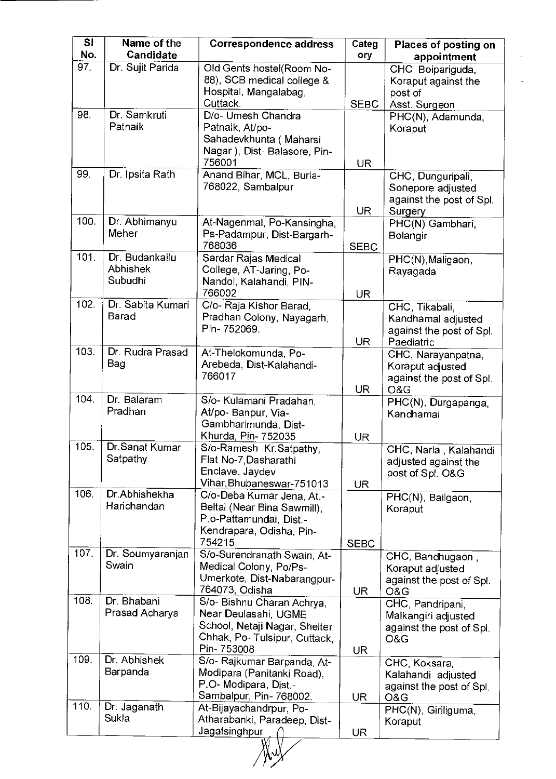| $\overline{\mathsf{SI}}$<br>No. | Name of the<br>Candidate                     | <b>Correspondence address</b>                                                                                                      | Categ<br>ory             | Places of posting on<br>appointment                                            |
|---------------------------------|----------------------------------------------|------------------------------------------------------------------------------------------------------------------------------------|--------------------------|--------------------------------------------------------------------------------|
| 97.                             | Dr. Sujit Parida                             | Old Gents hostel(Room No-<br>88), SCB medical college &<br>Hospital, Mangalabag,                                                   |                          | CHC, Boipariguda,<br>Koraput against the<br>post of                            |
| 98.                             | Dr. Samkruti<br>Patnaik                      | Cuttack.<br>D/o- Umesh Chandra<br>Patnaik, At/po-<br>Sahadevkhunta (Maharsi<br>Nagar), Dist-Balasore, Pin-<br>756001               | <b>SEBC</b><br><b>UR</b> | Asst. Surgeon<br>PHC(N), Adamunda,<br>Koraput                                  |
| 99.                             | Dr. Ipsita Rath                              | Anand Bihar, MCL, Burla-<br>768022, Sambalpur                                                                                      | <b>UR</b>                | CHC, Dunguripali,<br>Sonepore adjusted<br>against the post of Spl.<br>Surgery  |
| 100.                            | Dr. Abhimanyu<br>Meher                       | At-Nagenmal, Po-Kansingha,<br>Ps-Padampur, Dist-Bargarh-<br>768036                                                                 | <b>SEBC</b>              | PHC(N) Gambhari,<br>Bolangir                                                   |
| 101.                            | Dr. Budankailu<br><b>Abhishek</b><br>Subudhi | Sardar Rajas Medical<br>College, AT-Jaring, Po-<br>Nandol, Kalahandi, PIN-<br>766002                                               | <b>UR</b>                | PHC(N), Maligaon,<br>Rayagada                                                  |
| 102.                            | Dr. Sabita Kumari<br><b>Barad</b>            | C/o- Raja Kishor Barad,<br>Pradhan Colony, Nayagarh,<br>Pin-752069.                                                                | <b>UR</b>                | CHC, Tikabali,<br>Kandhamal adjusted<br>against the post of Spl.<br>Paediatric |
| 103.                            | Dr. Rudra Prasad<br>Bag                      | At-Thelokomunda, Po-<br>Arebeda, Dist-Kalahandi-<br>766017                                                                         | <b>UR</b>                | CHC, Narayanpatna,<br>Koraput adjusted<br>against the post of Spl.<br>O&G      |
| 104.                            | Dr. Balaram<br>Pradhan                       | S/o- Kulamani Pradahan,<br>At/po- Banpur, Via-<br>Gambharimunda, Dist-<br>Khurda, Pin- 752035                                      | <b>UR</b>                | PHC(N), Durgapanga,<br>Kandhamal                                               |
| 105.                            | Dr.Sanat Kumar<br>Satpathy                   | S/o-Ramesh Kr.Satpathy,<br>Flat No-7, Dasharathi<br>Enclave, Jaydev<br>Vihar, Bhubaneswar-751013                                   | <b>UR</b>                | CHC, Narla,<br>Kalahandi<br>adjusted against the<br>post of Spl. O&G           |
| 106.                            | Dr.Abhishekha<br>Harichandan                 | C/o-Deba Kumar Jena, At.-<br>Beltal (Near Bina Sawmill),<br>P.o-Pattamundai, Dist.-<br>Kendrapara, Odisha, Pin-<br>754215          | <b>SEBC</b>              | PHC(N), Bailgaon,<br>Koraput                                                   |
| 107.                            | Dr. Soumyaranjan<br>Swain                    | S/o-Surendranath Swain, At-<br>Medical Colony, Po/Ps-<br>Umerkote, Dist-Nabarangpur-<br>764073, Odisha                             | <b>UR</b>                | CHC, Bandhugaon,<br>Koraput adjusted<br>against the post of Spl.<br>O&G        |
| 108.                            | Dr. Bhabani<br>Prasad Acharya                | S/o- Bishnu Charan Achrya,<br>Near Deulasahi, UGME<br>School, Netaji Nagar, Shelter<br>Chhak, Po- Tulsipur, Cuttack,<br>Pin-753008 | UR                       | CHC, Pandripani,<br>Malkangiri adjusted<br>against the post of Spl.<br>O&G     |
| 109                             | Dr. Abhishek<br>Barpanda                     | S/o- Rajkumar Barpanda, At-<br>Modipara (Panitanki Road),<br>P.O- Modipara, Dist -<br>Sambalpur, Pin- 768002.                      | UR                       | CHC, Koksara,<br>Kalahandi adjusted<br>against the post of Spl.<br>O&G         |
| 110.                            | Dr. Jaganath<br>Sukla                        | At-Bijayachandrpur, Po-<br>Atharabanki, Paradeep, Dist-<br>Jagatsinghpur                                                           | <b>UR</b>                | PHC(N), Giriliguma,<br>Koraput                                                 |
|                                 |                                              |                                                                                                                                    |                          |                                                                                |

 $\sim$ 

 $\mathcal{A}^{\mathcal{A}}$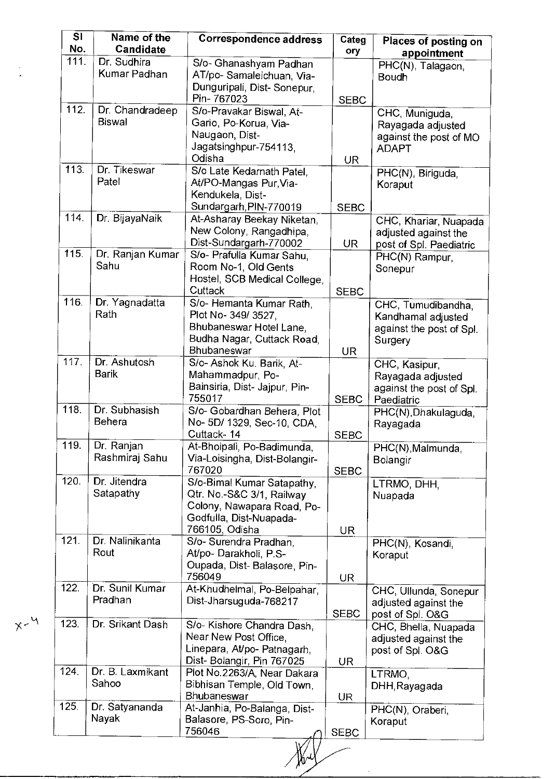| $\overline{\mathsf{SI}}$<br>No. | Name of the<br><b>Candidate</b>  | <b>Correspondence address</b>                                                                                                      | Categ<br>ory | Places of posting on<br>appointment                                             |
|---------------------------------|----------------------------------|------------------------------------------------------------------------------------------------------------------------------------|--------------|---------------------------------------------------------------------------------|
| 111.                            | Dr. Sudhira<br>Kumar Padhan      | S/o- Ghanashyam Padhan<br>AT/po-Samaleichuan, Via-<br>Dunguripali, Dist-Sonepur,                                                   |              | PHC(N), Talagaon,<br><b>Boudh</b>                                               |
|                                 |                                  | Pin-767023                                                                                                                         | <b>SEBC</b>  |                                                                                 |
| 112.                            | Dr. Chandradeep<br><b>Biswal</b> | S/o-Pravakar Biswal, At-<br>Gario, Po-Korua, Via-<br>Naugaon, Dist-<br>Jagatsinghpur-754113,<br>Odisha                             | <b>UR</b>    | CHC, Muniguda,<br>Rayagada adjusted<br>against the post of MO<br><b>ADAPT</b>   |
| 113.                            | Dr. Tikeswar<br>Patel            | S/o Late Kedarnath Patel.<br>At/PO-Mangas Pur, Via-<br>Kendukela, Dist-<br>Sundargarh, PIN-770019                                  | <b>SEBC</b>  | PHC(N), Biriguda,<br>Koraput                                                    |
| 114.                            | Dr. BijayaNaik                   | At-Asharay Beekay Niketan,<br>New Colony, Rangadhipa,<br>Dist-Sundargarh-770002                                                    | UR           | CHC, Khariar, Nuapada<br>adjusted against the<br>post of Spl. Paediatric        |
| 115.                            | Dr. Ranjan Kumar<br>Sahu         | S/o- Prafulla Kumar Sahu,<br>Room No-1, Old Gents<br>Hostel, SCB Medical College.<br>Cuttack                                       | <b>SEBC</b>  | PHC(N) Rampur,<br>Sonepur                                                       |
| 116.                            | Dr. Yagnadatta<br>Rath           | S/o- Hemanta Kumar Rath.<br>Plot No- 349/3527,<br>Bhubaneswar Hotel Lane,<br>Budha Nagar, Cuttack Road,<br>Bhubaneswar             | UR           | CHC, Tumudibandha,<br>Kandhamal adjusted<br>against the post of Spl.<br>Surgery |
| 117.                            | Dr. Ashutosh<br><b>Barik</b>     | S/o- Ashok Ku. Barik, At-<br>Mahammadpur, Po-<br>Bainsiria, Dist- Jajpur, Pin-<br>755017                                           | <b>SEBC</b>  | CHC, Kasipur,<br>Rayagada adjusted<br>against the post of Spl.<br>Paediatric    |
| 118.                            | Dr. Subhasish<br>Behera          | S/o- Gobardhan Behera, Plot<br>No- 5D/ 1329, Sec-10, CDA,<br>Cuttack-14                                                            | <b>SEBC</b>  | PHC(N), Dhakulaguda,<br>Rayagada                                                |
| 119.                            | Dr. Ranjan<br>Rashmiraj Sahu     | At-Bhoipali, Po-Badimunda,<br>Via-Loisingha, Dist-Bolangir-<br>767020                                                              | <b>SEBC</b>  | PHC(N), Malmunda,<br><b>Bolangir</b>                                            |
| 120.                            | Dr. Jitendra<br>Satapathy        | S/o-Bimal Kumar Satapathy,<br>Qtr. No.-S&C 3/1, Railway<br>Colony, Nawapara Road, Po-<br>Godfulla, Dist-Nuapada-<br>766105, Odisha | UR.          | LTRMO, DHH,<br>Nuapada                                                          |
| 121.                            | Dr. Nalinikanta<br>Rout          | S/o- Surendra Pradhan,<br>At/po- Darakholi, P.S-<br>Oupada, Dist-Balasore, Pin-<br>756049                                          | <b>UR</b>    | PHC(N), Kosandi,<br>Koraput                                                     |
| 122.                            | Dr. Sunil Kumar<br>Pradhan       | At-Khudhelmal, Po-Belpahar,<br>Dist-Jharsuguda-768217                                                                              | <b>SEBC</b>  | CHC, Ullunda, Sonepur<br>adjusted against the<br>post of Spl. O&G               |
| 123.                            | Dr. Srikant Dash                 | S/o- Kishore Chandra Dash,<br>Near New Post Office,<br>Linepara, At/po- Patnagarh,<br>Dist- Bolangir, Pin 767025                   | <b>UR</b>    | CHC, Bhella, Nuapada<br>adjusted against the<br>post of Spl. O&G                |
| 124.                            | Dr. B. Laxmikant<br>Sahoo        | Plot No.2263/A, Near Dakara<br>Bibhisan Temple, Old Town,<br><b>Bhubaneswar</b>                                                    | UR           | LTRMO,<br>DHH, Rayagada                                                         |
| 125.                            | Dr. Satyananda<br>Nayak          | At-Janhia, Po-Balanga, Dist-<br>Balasore, PS-Soro, Pin-<br>756046                                                                  | <b>SEBC</b>  | PHC(N), Oraberi,<br>Koraput                                                     |

 $\frac{1}{2}$ 

May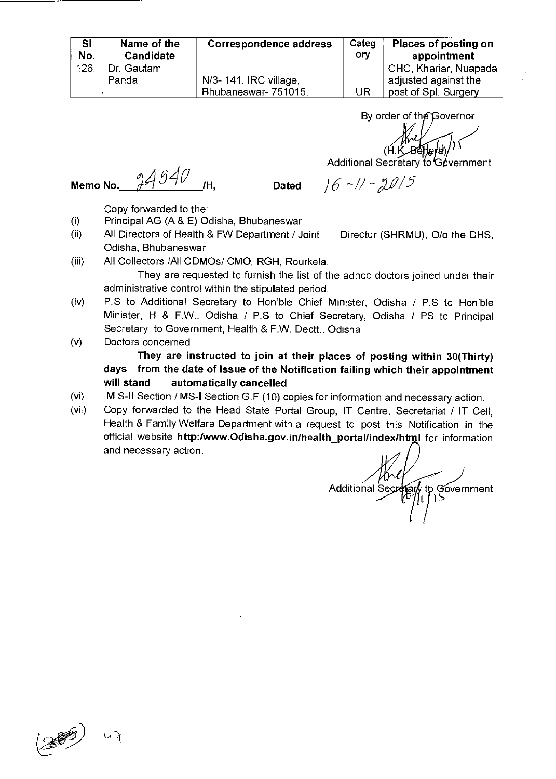| <b>SI</b><br>No. | Name of the<br>Candidate | <b>Correspondence address</b> | Categ<br>orv | Places of posting on<br>appointment |
|------------------|--------------------------|-------------------------------|--------------|-------------------------------------|
| 126              | Dr. Gautam               |                               |              | CHC, Khariar, Nuapada               |
|                  | Panda                    | N/3- 141, IRC village.        |              | adjusted against the                |
|                  |                          | Bhubaneswar-751015.           | UR           | post of Spl. Surgery                |

By order of the Governor

**(H.** K 04)1 \

Additional Secretary to Government

**Memo No.** *4590* /H, **Dated** 

 $16 - 11 - 2015$ 

Copy forwarded to the:

- (i) Principal AG (A & E) Odisha, Bhubaneswar
- (ii) All Directors of Health & FW Department / Joint Director (SHRMU), O/o the DHS, Odisha, Bhubaneswar
- (iii) All Collectors /All CDMOs/ CMO, RGH, Rourkela. They are requested to furnish the list of the adhoc doctors joined under their administrative control within the stipulated period.
- (iv) P.S to Additional Secretary to Hon'ble Chief Minister, Odisha / P.S to Hon'ble Minister, H & F.W., Odisha / P.S to Chief Secretary, Odisha / PS to Principal Secretary to Government, Health & F.W. Deptt., Odisha

(v) Doctors concerned. **They are instructed to join at their places of posting within 30(Thirty) days from the date of issue of the Notification failing which their appointment will stand automatically cancelled.** 

- (vi) M.S-II Section / MS-I Section G.F (10) copies for information and necessary action.
- (vii) Copy forwarded to the Head State Portal Group, IT Centre, Secretariat / IT Cell, Health & Family Welfare Department with a request to post this Notification in the official website http:/www.Odisha.gov.in/health\_portal/index/html for information and necessary action.

 $\frac{\mu}{2}$ <br>Additional Secretary  $\prime$  to Government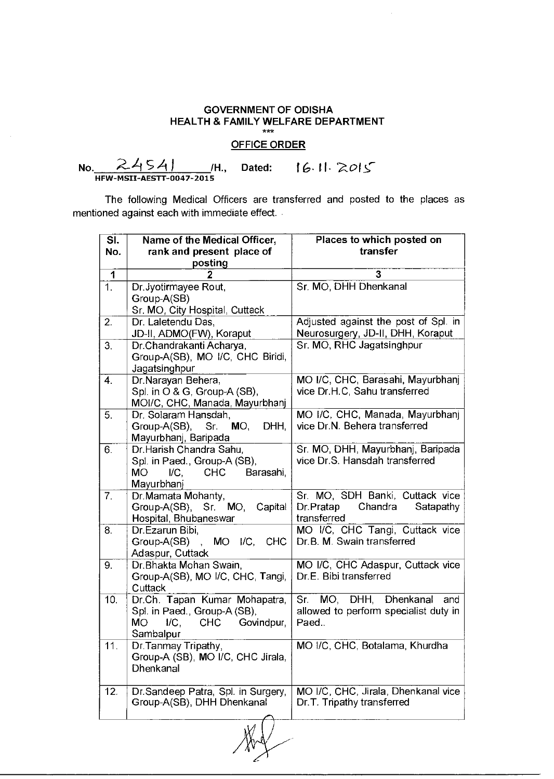## OFFICE ORDER

<u>STTOE ORDER</u><br>No. 24541 /H., Dated: 16.11.2015

| SI. | Name of the Medical Officer,                      | Places to which posted on             |  |
|-----|---------------------------------------------------|---------------------------------------|--|
| No. | rank and present place of                         | transfer                              |  |
|     | posting                                           |                                       |  |
| 1   |                                                   | 3                                     |  |
| 1.  | Dr.Jyotirmayee Rout,                              | Sr. MO, DHH Dhenkanal                 |  |
|     | Group-A(SB)                                       |                                       |  |
|     | Sr. MO, City Hospital, Cuttack                    |                                       |  |
| 2.  | Dr. Laletendu Das,                                | Adjusted against the post of Spl. in  |  |
|     | JD-II, ADMO(FW), Koraput                          | Neurosurgery, JD-II, DHH, Koraput     |  |
| 3.  | Dr.Chandrakanti Acharya,                          | Sr. MO, RHC Jagatsinghpur             |  |
|     | Group-A(SB), MO I/C, CHC Biridi,                  |                                       |  |
|     | Jagatsinghpur                                     |                                       |  |
| 4.  | Dr.Narayan Behera,                                | MO I/C, CHC, Barasahi, Mayurbhanj     |  |
|     | Spl. in O & G, Group-A (SB),                      | vice Dr.H.C, Sahu transferred         |  |
|     | MOI/C, CHC, Manada, Mayurbhanj                    |                                       |  |
| 5.  | Dr. Solaram Hansdah,                              | MO I/C, CHC, Manada, Mayurbhanj       |  |
|     | $MO$ ,<br>Group-A(SB), Sr.<br>DHH,                | vice Dr.N. Behera transferred         |  |
|     | Mayurbhanj, Baripada                              |                                       |  |
| 6.  | Dr.Harish Chandra Sahu,                           | Sr. MO, DHH, Mayurbhanj, Baripada     |  |
|     | Spl. in Paed., Group-A (SB),                      | vice Dr.S. Hansdah transferred        |  |
|     | MО<br><b>CHC</b><br>$\mathsf{IC}.$<br>Barasahi,   |                                       |  |
|     | Mayurbhanj                                        |                                       |  |
| 7.  | Dr. Mamata Mohanty,                               | Sr. MO, SDH Banki, Cuttack vice       |  |
|     | Group-A(SB), Sr. MO,<br>Capital                   | Chandra<br>Dr.Pratap<br>Satapathy     |  |
|     | Hospital, Bhubaneswar                             | transferred                           |  |
| 8.  | Dr.Ezarun Bibi,                                   | MO I/C, CHC Tangi, Cuttack vice       |  |
|     | Group-A(SB), MO I/C, CHC                          | Dr.B. M. Swain transferred            |  |
|     | Adaspur, Cuttack                                  |                                       |  |
| 9.  | Dr. Bhakta Mohan Swain,                           | MO I/C, CHC Adaspur, Cuttack vice     |  |
|     | Group-A(SB), MO I/C, CHC, Tangi,                  | Dr.E. Bibi transferred                |  |
|     | Cuttack                                           |                                       |  |
| 10. | Dr.Ch. Tapan Kumar Mohapatra,                     | Sr. MO, DHH, Dhenkanal<br>and         |  |
|     | Spl. in Paed., Group-A (SB),                      | allowed to perform specialist duty in |  |
|     | $\mathsf{IC}$ .<br><b>CHC</b><br>МO<br>Govindpur, | Paed                                  |  |
|     | Sambalpur                                         |                                       |  |
| 11. | Dr. Tanmay Tripathy,                              | MO I/C, CHC, Botalama, Khurdha        |  |
|     | Group-A (SB), MO I/C, CHC Jirala,<br>Dhenkanal    |                                       |  |
|     |                                                   |                                       |  |
| 12. | Dr.Sandeep Patra, Spl. in Surgery,                | MO I/C, CHC, Jirala, Dhenkanal vice   |  |
|     | Group-A(SB), DHH Dhenkanal                        | Dr.T. Tripathy transferred            |  |
|     |                                                   |                                       |  |
|     |                                                   |                                       |  |
|     |                                                   |                                       |  |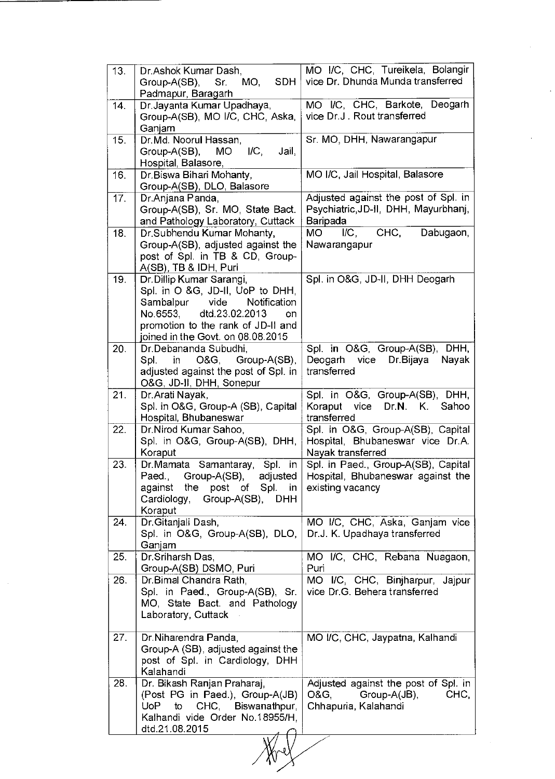| 13. | Dr.Ashok Kumar Dash,                                                  | MO I/C, CHC, Tureikela, Bolangir      |
|-----|-----------------------------------------------------------------------|---------------------------------------|
|     | Group-A(SB),<br>Sr.<br>MO,<br>SDH.                                    | vice Dr. Dhunda Munda transferred     |
|     | Padmapur, Baragarh                                                    |                                       |
| 14. | Dr. Jayanta Kumar Upadhaya,                                           | MO I/C, CHC, Barkote, Deogarh         |
|     | Group-A(SB), MO I/C, CHC, Aska,                                       | vice Dr.J. Rout transferred           |
|     | Ganjam                                                                |                                       |
| 15. | Dr.Md. Noorul Hassan,                                                 | Sr. MO, DHH, Nawarangapur             |
|     | Group-A(SB),<br>$\mathsf{IC},$<br>MO I<br>Jail,                       |                                       |
|     | Hospital, Balasore,                                                   |                                       |
| 16. | Dr.Biswa Bihari Mohanty,                                              | MO I/C, Jail Hospital, Balasore       |
|     | Group-A(SB), DLO, Balasore                                            |                                       |
| 17. | Dr.Anjana Panda,                                                      | Adjusted against the post of Spl. in  |
|     | Group-A(SB), Sr. MO, State Bact.                                      | Psychiatric, JD-II, DHH, Mayurbhanj,  |
|     | and Pathology Laboratory, Cuttack                                     | Baripada                              |
| 18. | Dr.Subhendu Kumar Mohanty,                                            | CHC,<br>Dabugaon,<br>MО<br>IC,        |
|     | Group-A(SB), adjusted against the                                     | Nawarangapur                          |
|     | post of Spl. in TB & CD, Group-                                       |                                       |
|     | A(SB), TB & IDH, Puri                                                 |                                       |
| 19. | Dr. Dillip Kumar Sarangi,                                             | Spl. in O&G, JD-II, DHH Deogarh       |
|     | Spl. in O &G, JD-II, UoP to DHH,                                      |                                       |
|     | Sambalpur<br>vide<br>Notification                                     |                                       |
|     | dtd.23.02.2013<br>No.6553,<br>on                                      |                                       |
|     | promotion to the rank of JD-II and                                    |                                       |
|     | joined in the Govt. on 08.08.2015                                     |                                       |
| 20. | Dr.Debananda Subudhi,                                                 | Spl. in O&G, Group-A(SB), DHH,        |
|     | O&G, Group-A(SB),<br>Spl.<br>in l                                     | vice<br>Deogarh<br>Dr.Bijaya<br>Nayak |
|     | adjusted against the post of Spl. in                                  | transferred                           |
|     | O&G, JD-II, DHH, Sonepur                                              |                                       |
| 21. | Dr. Arati Nayak,                                                      | Spl. in O&G, Group-A(SB), DHH,        |
|     | Spl. in O&G, Group-A (SB), Capital                                    | Koraput vice<br>Dr.N. K. Sahoo        |
|     | Hospital, Bhubaneswar                                                 | transferred                           |
| 22. | Dr.Nirod Kumar Sahoo,                                                 | Spl. in O&G, Group-A(SB), Capital     |
|     | Spl. in O&G, Group-A(SB), DHH,                                        | Hospital, Bhubaneswar vice Dr.A.      |
|     | Koraput                                                               | Nayak transferred                     |
| 23. | Samantaray,<br>Spl. in<br>Dr.Mamata                                   | Spl. in Paed., Group-A(SB), Capital   |
|     | Paed.,<br>Group-A(SB),<br>adjusted                                    | Hospital, Bhubaneswar against the     |
|     | against the post of Spl. in<br>Cardiology, Group-A(SB),<br><b>DHH</b> | existing vacancy                      |
|     | Koraput                                                               |                                       |
| 24. | Dr. Gitanjali Dash,                                                   | MO I/C, CHC, Aska, Ganjam vice        |
|     | Spl. in O&G, Group-A(SB), DLO,                                        | Dr.J. K. Upadhaya transferred         |
|     | Ganjam                                                                |                                       |
| 25. | Dr.Sriharsh Das,                                                      | MO I/C, CHC, Rebana Nuagaon,          |
|     | Group-A(SB) DSMO, Puri                                                | Puri                                  |
| 26. | Dr.Bimal Chandra Rath,                                                | MO I/C, CHC, Binjharpur, Jajpur       |
|     | Spl. in Paed., Group-A(SB), Sr.                                       | vice Dr.G. Behera transferred         |
|     | MO, State Bact. and Pathology                                         |                                       |
|     | Laboratory, Cuttack                                                   |                                       |
|     |                                                                       |                                       |
| 27. | Dr. Niharendra Panda,                                                 | MO I/C, CHC, Jaypatna, Kalhandi       |
|     | Group-A (SB), adjusted against the                                    |                                       |
|     | post of Spl. in Cardiology, DHH                                       |                                       |
|     | Kalahandi                                                             |                                       |
| 28. | Dr. Bikash Ranjan Praharaj,                                           | Adjusted against the post of Spl. in  |
|     | (Post PG in Paed.), Group-A(JB)                                       | O&G,<br>CHC,<br>Group-A(JB),          |
|     | CHC,<br>Biswanathpur,<br>to<br>UoP                                    | Chhapuria, Kalahandi                  |
|     | Kalhandi vide Order No.18955/H,                                       |                                       |
|     | dtd.21.08.2015                                                        |                                       |
|     |                                                                       |                                       |

 $\mathcal{A}^{\mathcal{A}}$ 

 $\frac{1}{2}$ 

 $\ddot{\phantom{a}}$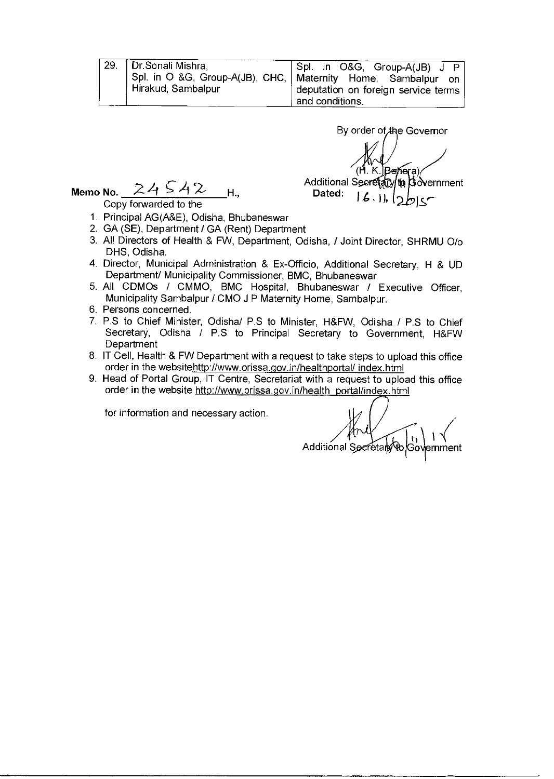| 29. | │ Dr.Sonali Mishra,<br>Spl. in O &G, Group-A(JB), CHC,  <br>Hirakud, Sambalpur |  |
|-----|--------------------------------------------------------------------------------|--|
|     |                                                                                |  |

Spl. in O&G, Group-A(JB) J P Maternity Home, Sambalpur on deputation on foreign service terms and conditions.

By order of the Governor (H. K. Benera) Additional Secretary to Dovernment Memo No.  $24.542$  H.,  $24.542$  H.

Copy forwarded to the

- 1. Principal AG(A&E), Odisha, Bhubaneswar
- 2. GA (SE), Department / GA (Rent) Department
- 3. All Directors of Health & FW, Department, Odisha, / Joint Director, SHRMU 0/o DHS, Odisha.
- 4. Director, Municipal Administration & Ex-Officio, Additional Secretary, H & UD Department/ Municipality Commissioner, BMC, Bhubaneswar
- 5. All CDMOs / CMMO, BMC Hospital, Bhubaneswar / Executive Officer, Municipality Sambalpur / CMO J P Maternity Home, Sambalpur.
- 6. Persons concerned.
- 7. P.S to Chief Minister, Odisha/ P.S to Minister, H&FW, Odisha / P.S to Chief Secretary, Odisha / P.S to Principal Secretary to Government, H&FW **Department**
- 8. IT Cell, Health & FW Department with a request to take steps to upload this office order in the websitehttp://www.orissa.gov.in/healthportal/index.html
- 9. Head of Portal Group, IT Centre, Secretariat with a request to upload this office order in the website http://www.orissa.gov.in/health\_portal/index.html

 $A^{\prime\prime}$ <br>Additional Secr  $\mathbf{u}$ ernment